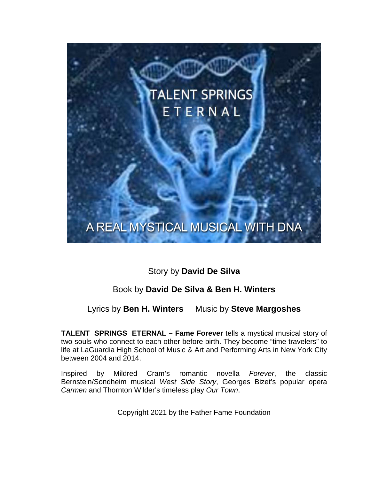# **TALENT SPRINGS** ETERNAL

# A REAL MYSTICAL MUSICAL WITH DNA

# Story by **David De Silva**

# Book by **David De Silva & Ben H. Winters**

# Lyrics by **Ben H. Winters** Music by **Steve Margoshes**

**TALENT SPRINGS ETERNAL – Fame Forever** tells a mystical musical story of two souls who connect to each other before birth. They become "time travelers" to life at LaGuardia High School of Music & Art and Performing Arts in New York City between 2004 and 2014.

Inspired by Mildred Cram's romantic novella *Forever*, the classic Bernstein/Sondheim musical *West Side Story*, Georges Bizet's popular opera *Carmen* and Thornton Wilder's timeless play *Our Town*.

Copyright 2021 by the Father Fame Foundation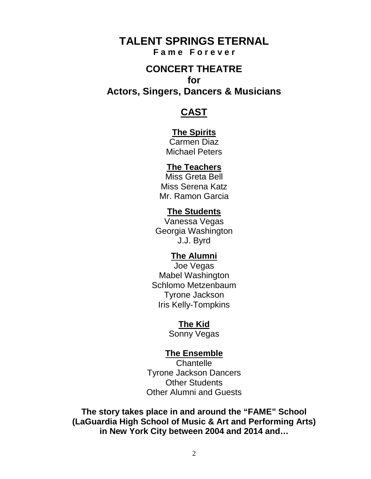# **TALENT SPRINGS ETERNAL F a m e F o r e v e r**

# **CONCERT THEATRE for**

**Actors, Singers, Dancers & Musicians**

# **CAST**

# **The Spirits**

Carmen Diaz Michael Peters

# **The Teachers**

Miss Greta Bell Miss Serena Katz Mr. Ramon Garcia

# **The Students**

Vanessa Vegas Georgia Washington J.J. Byrd

# **The Alumni**

Joe Vegas Mabel Washington Schlomo Metzenbaum Tyrone Jackson Iris Kelly-Tompkins

# **The Kid**

Sonny Vegas

# **The Ensemble**

**Chantelle** Tyrone Jackson Dancers Other Students Other Alumni and Guests

**The story takes place in and around the "FAME" School (LaGuardia High School of Music & Art and Performing Arts) in New York City between 2004 and 2014 and…**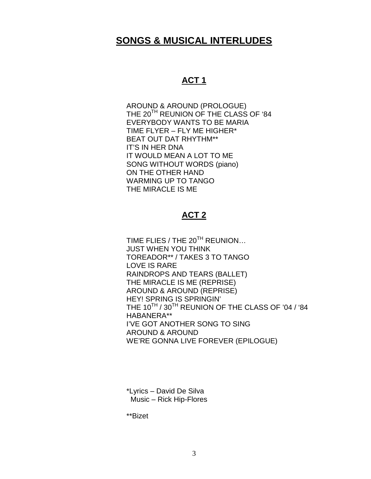# **SONGS & MUSICAL INTERLUDES**

# **ACT 1**

AROUND & AROUND (PROLOGUE) THE 20<sup>TH</sup> REUNION OF THE CLASS OF '84 EVERYBODY WANTS TO BE MARIA TIME FLYER – FLY ME HIGHER\* BEAT OUT DAT RHYTHM\*\* IT'S IN HER DNA IT WOULD MEAN A LOT TO ME SONG WITHOUT WORDS (piano) ON THE OTHER HAND WARMING UP TO TANGO THE MIRACLE IS ME

# **ACT 2**

TIME FLIES / THE 20<sup>TH</sup> REUNION... JUST WHEN YOU THINK TOREADOR\*\* / TAKES 3 TO TANGO LOVE IS RARE RAINDROPS AND TEARS (BALLET) THE MIRACLE IS ME (REPRISE) AROUND & AROUND (REPRISE) HEY! SPRING IS SPRINGIN' THE 10<sup>TH</sup> / 30<sup>TH</sup> REUNION OF THE CLASS OF '04 / '84 HABANERA\*\* I'VE GOT ANOTHER SONG TO SING AROUND & AROUND WE'RE GONNA LIVE FOREVER (EPILOGUE)

\*Lyrics – David De Silva Music – Rick Hip-Flores

\*\*Bizet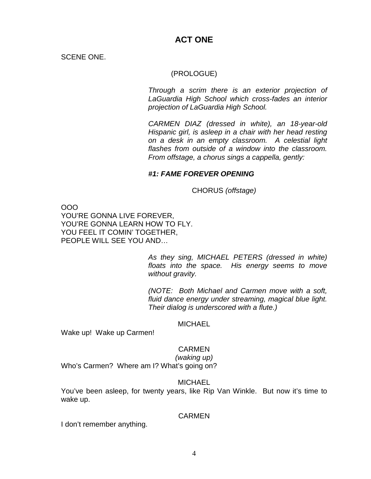# **ACT ONE**

SCENE ONE.

### (PROLOGUE)

*Through a scrim there is an exterior projection of LaGuardia High School which cross-fades an interior projection of LaGuardia High School.* 

*CARMEN DIAZ (dressed in white), an 18-year-old Hispanic girl, is asleep in a chair with her head resting on a desk in an empty classroom. A celestial light flashes from outside of a window into the classroom. From offstage, a chorus sings a cappella, gently:*

# *#1: FAME FOREVER OPENING*

CHORUS *(offstage)*

OOO YOU'RE GONNA LIVE FOREVER, YOU'RE GONNA LEARN HOW TO FLY. YOU FEEL IT COMIN' TOGETHER, PEOPLE WILL SEE YOU AND…

> *As they sing, MICHAEL PETERS (dressed in white) floats into the space. His energy seems to move without gravity.*

> *(NOTE: Both Michael and Carmen move with a soft, fluid dance energy under streaming, magical blue light. Their dialog is underscored with a flute.)*

#### **MICHAEL**

Wake up! Wake up Carmen!

#### **CARMEN**

*(waking up)*

Who's Carmen? Where am I? What's going on?

#### MICHAEL

You've been asleep, for twenty years, like Rip Van Winkle. But now it's time to wake up.

#### CARMEN

I don't remember anything.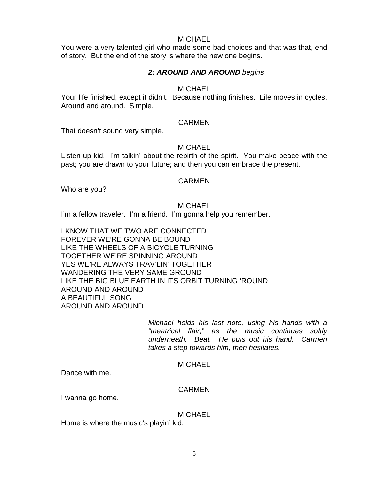#### **MICHAEL**

You were a very talented girl who made some bad choices and that was that, end of story. But the end of the story is where the new one begins.

## *2: AROUND AND AROUND begins*

#### **MICHAEL**

Your life finished, except it didn't. Because nothing finishes. Life moves in cycles. Around and around. Simple.

#### CARMEN

That doesn't sound very simple.

#### **MICHAEL**

Listen up kid. I'm talkin' about the rebirth of the spirit. You make peace with the past; you are drawn to your future; and then you can embrace the present.

#### **CARMEN**

Who are you?

**MICHAEL** 

I'm a fellow traveler. I'm a friend. I'm gonna help you remember.

I KNOW THAT WE TWO ARE CONNECTED FOREVER WE'RE GONNA BE BOUND LIKE THE WHEELS OF A BICYCLE TURNING TOGETHER WE'RE SPINNING AROUND YES WE'RE ALWAYS TRAV'LIN' TOGETHER WANDERING THE VERY SAME GROUND LIKE THE BIG BLUE EARTH IN ITS ORBIT TURNING 'ROUND AROUND AND AROUND A BEAUTIFUL SONG AROUND AND AROUND

> *Michael holds his last note, using his hands with a "theatrical flair," as the music continues softly underneath. Beat. He puts out his hand. Carmen takes a step towards him, then hesitates.*

#### MICHAEL

Dance with me.

#### **CARMEN**

I wanna go home.

MICHAEL

Home is where the music's playin' kid.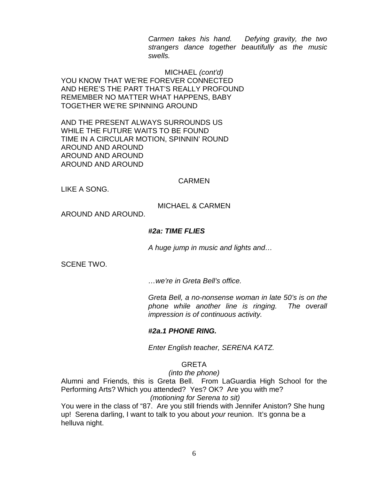*Carmen takes his hand. Defying gravity, the two strangers dance together beautifully as the music swells.*

MICHAEL *(cont'd)* YOU KNOW THAT WE'RE FOREVER CONNECTED AND HERE'S THE PART THAT'S REALLY PROFOUND REMEMBER NO MATTER WHAT HAPPENS, BABY TOGETHER WE'RE SPINNING AROUND

AND THE PRESENT ALWAYS SURROUNDS US WHILE THE FUTURE WAITS TO BE FOUND TIME IN A CIRCULAR MOTION, SPINNIN' ROUND AROUND AND AROUND AROUND AND AROUND AROUND AND AROUND

#### **CARMEN**

LIKE A SONG.

### MICHAEL & CARMEN

AROUND AND AROUND.

#### *#2a: TIME FLIES*

*A huge jump in music and lights and…*

SCENE TWO.

*…we're in Greta Bell's office.*

*Greta Bell, a no-nonsense woman in late 50's is on the phone while another line is ringing. The overall impression is of continuous activity.*

#### *#2a.1 PHONE RING.*

*Enter English teacher, SERENA KATZ.*

#### GRETA

*(into the phone)*

Alumni and Friends, this is Greta Bell. From LaGuardia High School for the Performing Arts? Which you attended? Yes? OK? Are you with me?

*(motioning for Serena to sit)*

You were in the class of "87. Are you still friends with Jennifer Aniston? She hung up! Serena darling, I want to talk to you about *your* reunion. It's gonna be a helluva night.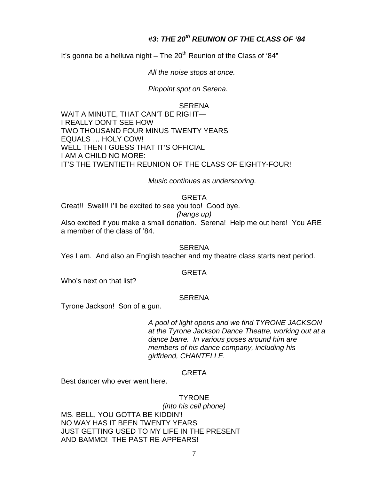# *#3: THE 20th REUNION OF THE CLASS OF '84*

It's gonna be a helluva night – The  $20<sup>th</sup>$  Reunion of the Class of '84"

*All the noise stops at once.* 

*Pinpoint spot on Serena.*

#### SERENA

WAIT A MINUTE, THAT CAN'T BE RIGHT— I REALLY DON'T SEE HOW TWO THOUSAND FOUR MINUS TWENTY YEARS EQUALS … HOLY COW! WELL THEN I GUESS THAT IT'S OFFICIAL I AM A CHILD NO MORE: IT'S THE TWENTIETH REUNION OF THE CLASS OF EIGHTY-FOUR!

*Music continues as underscoring.*

# GRETA

Great!! Swell!! I'll be excited to see you too! Good bye.

#### *(hangs up)*

Also excited if you make a small donation. Serena! Help me out here! You ARE a member of the class of '84.

**SERENA** 

Yes I am. And also an English teacher and my theatre class starts next period.

#### GRETA

Who's next on that list?

#### **SERENA**

Tyrone Jackson! Son of a gun.

*A pool of light opens and we find TYRONE JACKSON at the Tyrone Jackson Dance Theatre, working out at a dance barre. In various poses around him are members of his dance company, including his girlfriend, CHANTELLE.*

#### GRETA

Best dancer who ever went here.

#### TYRONE

*(into his cell phone)* MS. BELL, YOU GOTTA BE KIDDIN'! NO WAY HAS IT BEEN TWENTY YEARS JUST GETTING USED TO MY LIFE IN THE PRESENT AND BAMMO! THE PAST RE-APPEARS!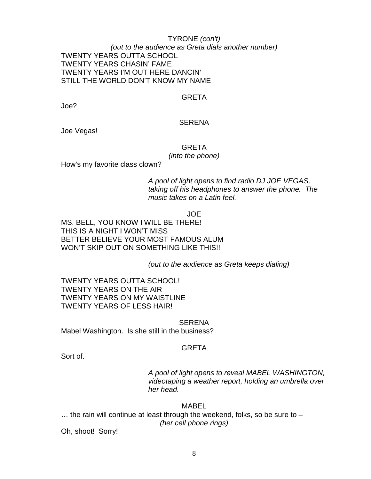### TYRONE *(con't) (out to the audience as Greta dials another number)* TWENTY YEARS OUTTA SCHOOL TWENTY YEARS CHASIN' FAME TWENTY YEARS I'M OUT HERE DANCIN' STILL THE WORLD DON'T KNOW MY NAME

#### GRETA

Joe?

#### SERENA

Joe Vegas!

# GRETA

*(into the phone)*

How's my favorite class clown?

*A pool of light opens to find radio DJ JOE VEGAS, taking off his headphones to answer the phone. The music takes on a Latin feel.*

JOE

MS. BELL, YOU KNOW I WILL BE THERE! THIS IS A NIGHT I WON'T MISS BETTER BELIEVE YOUR MOST FAMOUS ALUM WON'T SKIP OUT ON SOMETHING LIKE THIS!!

*(out to the audience as Greta keeps dialing)*

TWENTY YEARS OUTTA SCHOOL! TWENTY YEARS ON THE AIR TWENTY YEARS ON MY WAISTLINE TWENTY YEARS OF LESS HAIR!

**SERENA** 

Mabel Washington. Is she still in the business?

#### GRETA

Sort of.

*A pool of light opens to reveal MABEL WASHINGTON, videotaping a weather report, holding an umbrella over her head.*

#### MABEL

 $\dots$  the rain will continue at least through the weekend, folks, so be sure to  $-$ *(her cell phone rings)*

Oh, shoot! Sorry!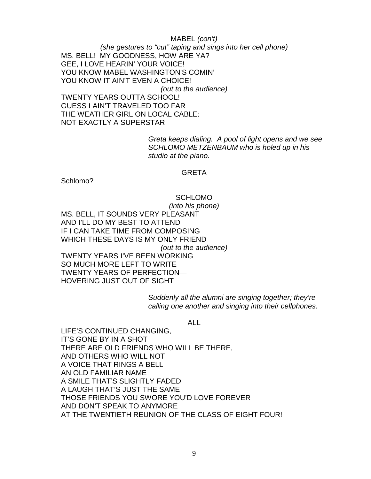### MABEL *(con't) (she gestures to "cut" taping and sings into her cell phone)* MS. BELL! MY GOODNESS, HOW ARE YA? GEE, I LOVE HEARIN' YOUR VOICE! YOU KNOW MABEL WASHINGTON'S COMIN' YOU KNOW IT AIN'T EVEN A CHOICE! *(out to the audience)* TWENTY YEARS OUTTA SCHOOL! GUESS I AIN'T TRAVELED TOO FAR THE WEATHER GIRL ON LOCAL CABLE: NOT EXACTLY A SUPERSTAR

*Greta keeps dialing. A pool of light opens and we see SCHLOMO METZENBAUM who is holed up in his studio at the piano.* 

#### GRETA

Schlomo?

SCHLOMO *(into his phone)* MS. BELL, IT SOUNDS VERY PLEASANT AND I'LL DO MY BEST TO ATTEND IF I CAN TAKE TIME FROM COMPOSING WHICH THESE DAYS IS MY ONLY FRIEND *(out to the audience)* TWENTY YEARS I'VE BEEN WORKING SO MUCH MORE LEFT TO WRITE TWENTY YEARS OF PERFECTION— HOVERING JUST OUT OF SIGHT

> *Suddenly all the alumni are singing together; they're calling one another and singing into their cellphones.*

#### ALL

LIFE'S CONTINUED CHANGING, IT'S GONE BY IN A SHOT THERE ARE OLD FRIENDS WHO WILL BE THERE, AND OTHERS WHO WILL NOT A VOICE THAT RINGS A BELL AN OLD FAMILIAR NAME A SMILE THAT'S SLIGHTLY FADED A LAUGH THAT'S JUST THE SAME THOSE FRIENDS YOU SWORE YOU'D LOVE FOREVER AND DON'T SPEAK TO ANYMORE AT THE TWENTIETH REUNION OF THE CLASS OF EIGHT FOUR!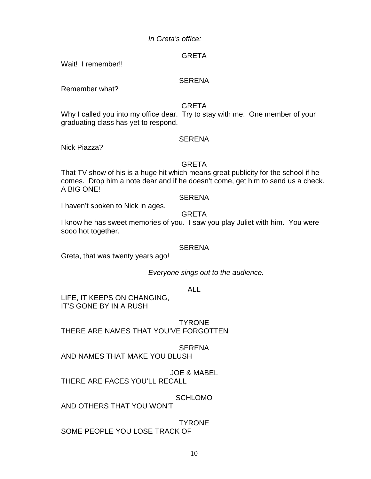# *In Greta's office:*

# GRETA

Wait! I remember!!

### **SERENA**

Remember what?

# GRETA

Why I called you into my office dear. Try to stay with me. One member of your graduating class has yet to respond.

# **SERENA**

Nick Piazza?

# GRETA

That TV show of his is a huge hit which means great publicity for the school if he comes. Drop him a note dear and if he doesn't come, get him to send us a check. A BIG ONE!

### **SERENA**

I haven't spoken to Nick in ages.

# GRETA

I know he has sweet memories of you. I saw you play Juliet with him. You were sooo hot together.

# **SERENA**

Greta, that was twenty years ago!

*Everyone sings out to the audience.*

# ALL

LIFE, IT KEEPS ON CHANGING, IT'S GONE BY IN A RUSH

TYRONE

THERE ARE NAMES THAT YOU'VE FORGOTTEN

# **SERENA**

AND NAMES THAT MAKE YOU BLUSH

JOE & MABEL THERE ARE FACES YOU'LL RECALL

SCHLOMO

AND OTHERS THAT YOU WON'T

**TYRONE** SOME PEOPLE YOU LOSE TRACK OF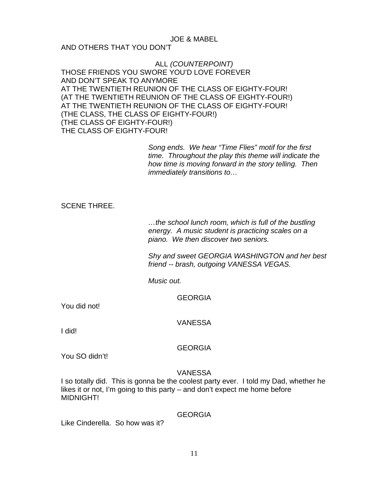#### JOE & MABEL AND OTHERS THAT YOU DON'T

ALL *(COUNTERPOINT)* THOSE FRIENDS YOU SWORE YOU'D LOVE FOREVER AND DON'T SPEAK TO ANYMORE AT THE TWENTIETH REUNION OF THE CLASS OF EIGHTY-FOUR! (AT THE TWENTIETH REUNION OF THE CLASS OF EIGHTY-FOUR!) AT THE TWENTIETH REUNION OF THE CLASS OF EIGHTY-FOUR! (THE CLASS, THE CLASS OF EIGHTY-FOUR!) (THE CLASS OF EIGHTY-FOUR!) THE CLASS OF EIGHTY-FOUR!

> *Song ends. We hear "Time Flies" motif for the first time. Throughout the play this theme will indicate the how time is moving forward in the story telling. Then immediately transitions to…*

# SCENE THREE.

*…the school lunch room, which is full of the bustling energy. A music student is practicing scales on a piano. We then discover two seniors.* 

*Shy and sweet GEORGIA WASHINGTON and her best friend -- brash, outgoing VANESSA VEGAS.*

*Music out.*

GEORGIA

You did not!

VANESSA

I did!

# **GEORGIA**

You SO didn't!

# VANESSA

I so totally did. This is gonna be the coolest party ever. I told my Dad, whether he likes it or not, I'm going to this party – and don't expect me home before MIDNIGHT!

# GEORGIA

Like Cinderella. So how was it?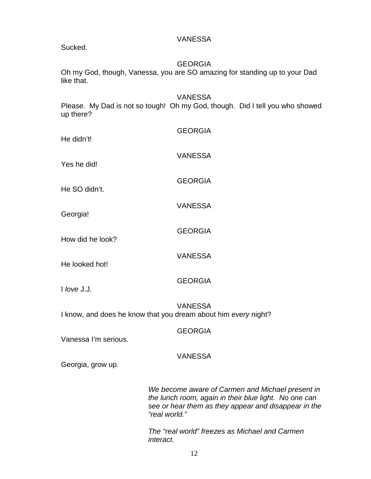VANESSA

Sucked.

# **GEORGIA**

Oh my God, though, Vanessa, you are SO amazing for standing up to your Dad like that.

VANESSA Please. My Dad is not so tough! Oh my God, though. Did I tell you who showed up there?

| He didn't!       | <b>GEORGIA</b> |
|------------------|----------------|
| Yes he did!      | <b>VANESSA</b> |
| He SO didn't.    | <b>GEORGIA</b> |
| Georgia!         | <b>VANESSA</b> |
| How did he look? | <b>GEORGIA</b> |
| He looked hot!   | <b>VANESSA</b> |
| $I$ love J.J.    | <b>GEORGIA</b> |
|                  | 11ANEOOA       |

VANESSA I know, and does he know that you dream about him *every* night?

GEORGIA

Vanessa I'm serious.

# VANESSA

Georgia, grow up.

*We become aware of Carmen and Michael present in the lunch room, again in their blue light. No one can see or hear them as they appear and disappear in the "real world."* 

*The "real world" freezes as Michael and Carmen interact.*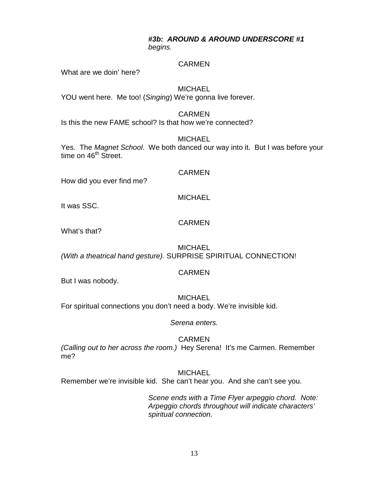# *#3b: AROUND & AROUND UNDERSCORE #1 begins.*

# CARMEN

What are we doin' here?

# **MICHAEL**

YOU went here. Me too! (*Singing*) We're gonna live forever.

### CARMEN

Is this the new FAME school? Is that how we're connected?

### MICHAEL

Yes. The *Magnet School*. We both danced our way into it. But I was before your time on 46<sup>th</sup> Street.

#### CARMEN

How did you ever find me?

# **MICHAEL**

It was SSC.

# CARMEN

What's that?

### **MICHAEL** *(With a theatrical hand gesture).* SURPRISE SPIRITUAL CONNECTION!

# CARMEN

But I was nobody.

# **MICHAEL**

For spiritual connections you don't need a body. We're invisible kid.

*Serena enters.*

# CARMEN

*(Calling out to her across the room.)* Hey Serena! It's me Carmen. Remember me?

**MICHAEL** 

Remember we're invisible kid. She can't hear you. And she can't see you.

*Scene ends with a Time Flyer arpeggio chord. Note: Arpeggio chords throughout will indicate characters' spiritual connection.*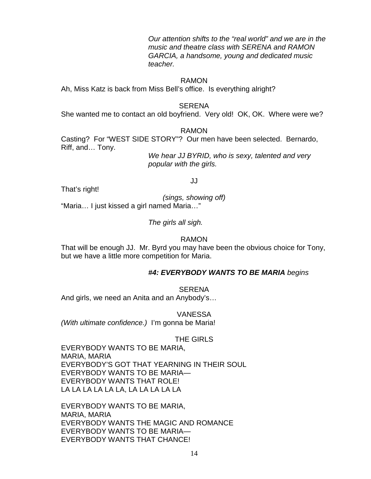*Our attention shifts to the "real world" and we are in the music and theatre class with SERENA and RAMON GARCIA, a handsome, young and dedicated music teacher.* 

#### RAMON

Ah, Miss Katz is back from Miss Bell's office. Is everything alright?

#### SERENA

She wanted me to contact an old boyfriend. Very old! OK, OK. Where were we?

#### RAMON

JJ

Casting? For "WEST SIDE STORY"? Our men have been selected. Bernardo, Riff, and… Tony.

> *We hear JJ BYRID, who is sexy, talented and very popular with the girls.*

That's right!

*(sings, showing off)*

"Maria… I just kissed a girl named Maria…"

*The girls all sigh.*

#### RAMON

That will be enough JJ. Mr. Byrd you may have been the obvious choice for Tony, but we have a little more competition for Maria.

#### *#4: EVERYBODY WANTS TO BE MARIA begins*

SERENA And girls, we need an Anita and an Anybody's…

VANESSA *(With ultimate confidence.)* I'm gonna be Maria!

#### THE GIRLS

EVERYBODY WANTS TO BE MARIA, MARIA, MARIA EVERYBODY'S GOT THAT YEARNING IN THEIR SOUL EVERYBODY WANTS TO BE MARIA— EVERYBODY WANTS THAT ROLE! LA LA LA LA LA LA, LA LA LA LA LA

EVERYBODY WANTS TO BE MARIA, MARIA, MARIA EVERYBODY WANTS THE MAGIC AND ROMANCE EVERYBODY WANTS TO BE MARIA— EVERYBODY WANTS THAT CHANCE!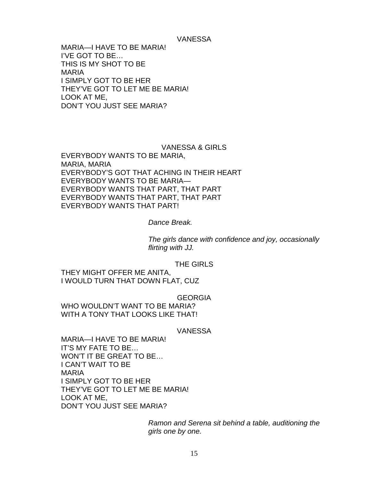#### VANESSA

MARIA—I HAVE TO BE MARIA! I'VE GOT TO BE… THIS IS MY SHOT TO BE MARIA I SIMPLY GOT TO BE HER THEY'VE GOT TO LET ME BE MARIA! LOOK AT ME, DON'T YOU JUST SEE MARIA?

VANESSA & GIRLS EVERYBODY WANTS TO BE MARIA, MARIA, MARIA EVERYBODY'S GOT THAT ACHING IN THEIR HEART EVERYBODY WANTS TO BE MARIA— EVERYBODY WANTS THAT PART, THAT PART EVERYBODY WANTS THAT PART, THAT PART EVERYBODY WANTS THAT PART!

#### *Dance Break.*

*The girls dance with confidence and joy, occasionally flirting with JJ.*

#### THE GIRLS

THEY MIGHT OFFER ME ANITA, I WOULD TURN THAT DOWN FLAT, CUZ

**GEORGIA** 

WHO WOULDN'T WANT TO BE MARIA? WITH A TONY THAT LOOKS LIKE THAT!

#### VANESSA

MARIA—I HAVE TO BE MARIA! IT'S MY FATE TO BE… WON'T IT BE GREAT TO BE… I CAN'T WAIT TO BE MARIA I SIMPLY GOT TO BE HER THEY'VE GOT TO LET ME BE MARIA! LOOK AT ME, DON'T YOU JUST SEE MARIA?

> *Ramon and Serena sit behind a table, auditioning the girls one by one.*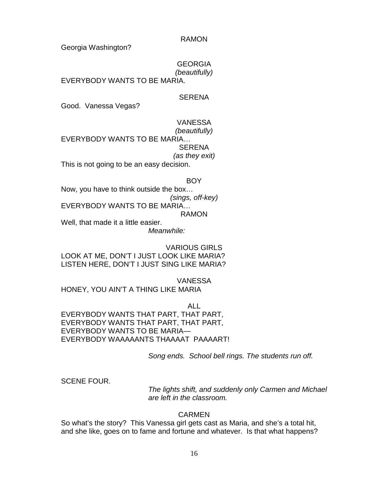RAMON

Georgia Washington?

**GEORGIA** *(beautifully)*

EVERYBODY WANTS TO BE MARIA.

## **SERENA**

Good. Vanessa Vegas?

### VANESSA

*(beautifully)* EVERYBODY WANTS TO BE MARIA… **SERENA** *(as they exit)* This is not going to be an easy decision.

#### **BOY**

Now, you have to think outside the box… *(sings, off-key)* EVERYBODY WANTS TO BE MARIA… RAMON Well, that made it a little easier.

*Meanwhile:*

VARIOUS GIRLS LOOK AT ME, DON'T I JUST LOOK LIKE MARIA? LISTEN HERE, DON'T I JUST SING LIKE MARIA?

VANESSA HONEY, YOU AIN'T A THING LIKE MARIA

ALL EVERYBODY WANTS THAT PART, THAT PART, EVERYBODY WANTS THAT PART, THAT PART, EVERYBODY WANTS TO BE MARIA— EVERYBODY WAAAAANTS THAAAAT PAAAART!

*Song ends. School bell rings. The students run off.*

SCENE FOUR.

*The lights shift, and suddenly only Carmen and Michael are left in the classroom.* 

# CARMEN

So what's the story? This Vanessa girl gets cast as Maria, and she's a total hit, and she like, goes on to fame and fortune and whatever. Is that what happens?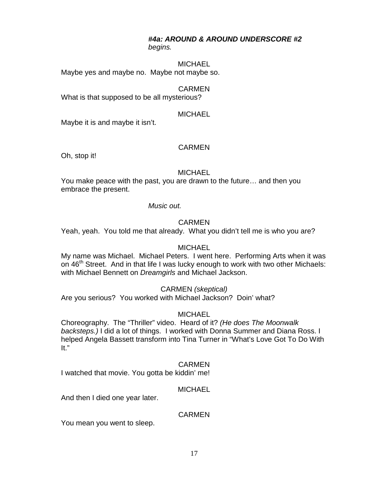## *#4a: AROUND & AROUND UNDERSCORE #2 begins.*

#### **MICHAEL**

Maybe yes and maybe no. Maybe not maybe so.

## CARMEN

What is that supposed to be all mysterious?

#### **MICHAEL**

Maybe it is and maybe it isn't.

#### CARMEN

Oh, stop it!

#### **MICHAEL**

You make peace with the past, you are drawn to the future… and then you embrace the present.

#### *Music out.*

#### CARMEN

Yeah, yeah. You told me that already. What you didn't tell me is who you are?

#### **MICHAEL**

My name was Michael. Michael Peters. I went here. Performing Arts when it was on 46<sup>th</sup> Street. And in that life I was lucky enough to work with two other Michaels: with Michael Bennett on *Dreamgirls* and Michael Jackson.

#### CARMEN *(skeptical)*

Are you serious? You worked with Michael Jackson? Doin' what?

#### MICHAEL

Choreography. The "Thriller" video. Heard of it? *(He does The Moonwalk backsteps.)* I did a lot of things. I worked with Donna Summer and Diana Ross. I helped Angela Bassett transform into Tina Turner in "What's Love Got To Do With It."

#### CARMEN

I watched that movie. You gotta be kiddin' me!

#### **MICHAEL**

And then I died one year later.

### **CARMEN**

You mean you went to sleep.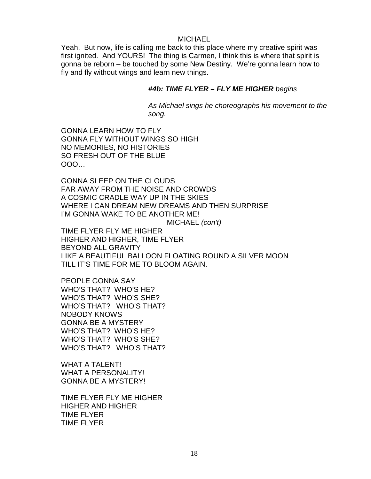#### MICHAEL

Yeah. But now, life is calling me back to this place where my creative spirit was first ignited. And YOURS! The thing is Carmen, I think this is where that spirit is gonna be reborn – be touched by some New Destiny*.* We're gonna learn how to fly and fly without wings and learn new things.

# *#4b: TIME FLYER – FLY ME HIGHER begins*

*As Michael sings he choreographs his movement to the song.*

GONNA LEARN HOW TO FLY GONNA FLY WITHOUT WINGS SO HIGH NO MEMORIES, NO HISTORIES SO FRESH OUT OF THE BLUE OOO…

GONNA SLEEP ON THE CLOUDS FAR AWAY FROM THE NOISE AND CROWDS A COSMIC CRADLE WAY UP IN THE SKIES WHERE I CAN DREAM NEW DREAMS AND THEN SURPRISE I'M GONNA WAKE TO BE ANOTHER ME!

MICHAEL *(con't)*

TIME FLYER FLY ME HIGHER HIGHER AND HIGHER, TIME FLYER BEYOND ALL GRAVITY LIKE A BEAUTIFUL BALLOON FLOATING ROUND A SILVER MOON TILL IT'S TIME FOR ME TO BLOOM AGAIN.

PEOPLE GONNA SAY WHO'S THAT? WHO'S HE? WHO'S THAT? WHO'S SHE? WHO'S THAT? WHO'S THAT? NOBODY KNOWS GONNA BE A MYSTERY WHO'S THAT? WHO'S HE? WHO'S THAT? WHO'S SHE? WHO'S THAT? WHO'S THAT?

WHAT A TALENT! WHAT A PERSONALITY! GONNA BE A MYSTERY!

TIME FLYER FLY ME HIGHER HIGHER AND HIGHER TIME FLYER TIME FLYER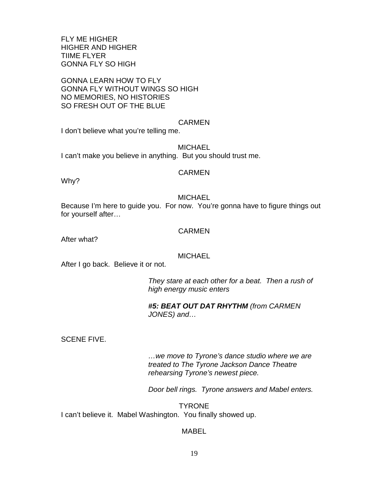FLY ME HIGHER HIGHER AND HIGHER TIIME FLYER GONNA FLY SO HIGH

GONNA LEARN HOW TO FLY GONNA FLY WITHOUT WINGS SO HIGH NO MEMORIES, NO HISTORIES SO FRESH OUT OF THE BLUE

#### CARMEN

I don't believe what you're telling me.

**MICHAEL** I can't make you believe in anything. But you should trust me.

#### CARMEN

Why?

#### **MICHAEL**

Because I'm here to guide you. For now. You're gonna have to figure things out for yourself after…

#### **CARMEN**

After what?

#### **MICHAEL**

After I go back. Believe it or not.

*They stare at each other for a beat. Then a rush of high energy music enters* 

### *#5: BEAT OUT DAT RHYTHM (from CARMEN JONES) and…*

SCENE FIVE.

*…we move to Tyrone's dance studio where we are treated to The Tyrone Jackson Dance Theatre rehearsing Tyrone's newest piece.*

*Door bell rings. Tyrone answers and Mabel enters.*

**TYRONE** I can't believe it. Mabel Washington. You finally showed up.

#### MABEL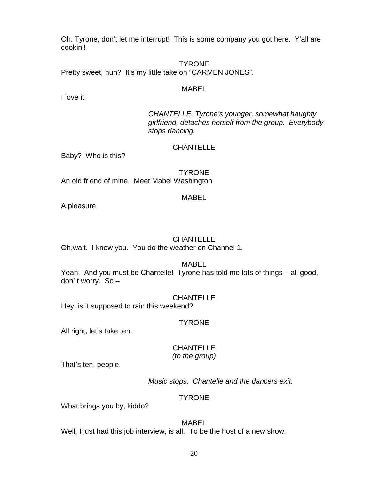Oh, Tyrone, don't let me interrupt! This is some company you got here. Y'all are cookin'!

TYRONE Pretty sweet, huh? It's my little take on "CARMEN JONES".

#### MABEL

I love it!

*CHANTELLE, Tyrone's younger, somewhat haughty girlfriend, detaches herself from the group. Everybody stops dancing.*

### **CHANTELLE**

Baby? Who is this?

**TYRONE** An old friend of mine. Meet Mabel Washington

#### MABEL

A pleasure.

# **CHANTELLE**

Oh,wait. I know you. You do the weather on Channel 1.

MABEL

Yeah. And you must be Chantelle! Tyrone has told me lots of things – all good, don' t worry. So –

#### **CHANTELLE**

Hey, is it supposed to rain this weekend?

#### TYRONE

All right, let's take ten.

### **CHANTELLE** *(to the group)*

That's ten, people.

*Music stops. Chantelle and the dancers exit.*

# **TYRONE**

What brings you by, kiddo?

#### MABEL

Well, I just had this job interview, is all. To be the host of a new show.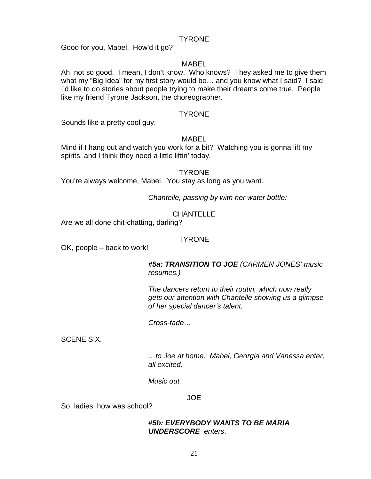#### TYRONE

Good for you, Mabel. How'd it go?

#### MABEL

Ah, not so good. I mean, I don't know. Who knows? They asked me to give them what my "Big Idea" for my first story would be... and you know what I said? I said I'd like to do stories about people trying to make their dreams come true. People like my friend Tyrone Jackson, the choreographer.

### TYRONE

Sounds like a pretty cool guy.

#### MABEL

Mind if I hang out and watch you work for a bit? Watching you is gonna lift my spirits, and I think they need a little liftin' today.

#### **TYRONE**

You're always welcome, Mabel. You stay as long as you want.

*Chantelle, passing by with her water bottle:*

# CHANTELLE

Are we all done chit-chatting, darling?

#### TYRONE

OK, people – back to work!

*#5a: TRANSITION TO JOE (CARMEN JONES' music resumes.)* 

*The dancers return to their routin, which now really gets our attention with Chantelle showing us a glimpse of her special dancer's talent.*

*Cross-fade…*

SCENE SIX.

*…to Joe at home. Mabel, Georgia and Vanessa enter, all excited.*

*Music out.*

JOE

So, ladies, how was school?

## *#5b: EVERYBODY WANTS TO BE MARIA UNDERSCORE enters*.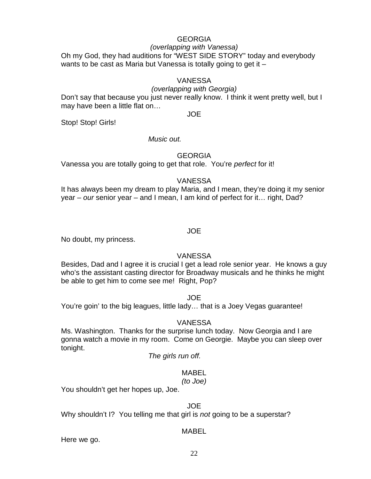### GEORGIA

# *(overlapping with Vanessa)*

Oh my God, they had auditions for "WEST SIDE STORY" today and everybody wants to be cast as Maria but Vanessa is totally going to get it –

#### VANESSA

#### *(overlapping with Georgia)*

Don't say that because you just never really know. I think it went pretty well, but I may have been a little flat on…

JOE

Stop! Stop! Girls!

### *Music out.*

# **GEORGIA**

Vanessa you are totally going to get that role. You're *perfect* for it!

### VANESSA

It has always been my dream to play Maria, and I mean, they're doing it my senior year – *our* senior year – and I mean, I am kind of perfect for it… right, Dad?

### JOE

No doubt, my princess.

# VANESSA

Besides, Dad and I agree it is crucial I get a lead role senior year. He knows a guy who's the assistant casting director for Broadway musicals and he thinks he might be able to get him to come see me! Right, Pop?

JOE

You're goin' to the big leagues, little lady… that is a Joey Vegas guarantee!

# VANESSA

Ms. Washington. Thanks for the surprise lunch today. Now Georgia and I are gonna watch a movie in my room. Come on Georgie. Maybe you can sleep over tonight.

*The girls run off.* 

# MABEL

#### *(to Joe)*

You shouldn't get her hopes up, Joe.

# JOE

Why shouldn't I? You telling me that girl is *not* going to be a superstar?

# MABEL

Here we go.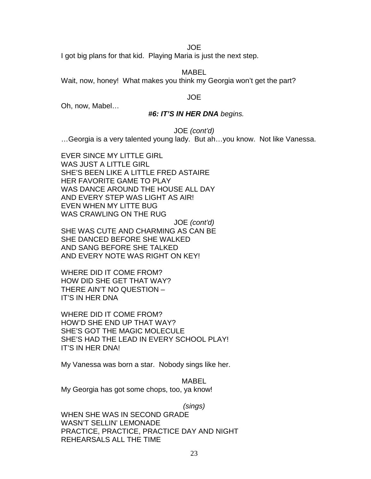JOE

I got big plans for that kid. Playing Maria is just the next step.

MABEL

Wait, now, honey! What makes you think my Georgia won't get the part?

#### JOE

Oh, now, Mabel…

#### *#6: IT'S IN HER DNA begins.*

JOE *(cont'd)*

…Georgia is a very talented young lady. But ah…you know. Not like Vanessa.

EVER SINCE MY LITTLE GIRL WAS JUST A LITTLE GIRL SHE'S BEEN LIKE A LITTLE FRED ASTAIRE HER FAVORITE GAME TO PLAY WAS DANCE AROUND THE HOUSE ALL DAY AND EVERY STEP WAS LIGHT AS AIR! EVEN WHEN MY LITTE BUG WAS CRAWLING ON THE RUG JOE *(cont'd)* SHE WAS CUTE AND CHARMING AS CAN BE SHE DANCED BEFORE SHE WALKED AND SANG BEFORE SHE TALKED AND EVERY NOTE WAS RIGHT ON KEY!

WHERE DID IT COME FROM? HOW DID SHE GET THAT WAY? THERE AIN'T NO QUESTION – IT'S IN HER DNA

WHERE DID IT COME FROM? HOW'D SHE END UP THAT WAY? SHE'S GOT THE MAGIC MOLECULE SHE'S HAD THE LEAD IN EVERY SCHOOL PLAY! IT'S IN HER DNA!

My Vanessa was born a star. Nobody sings like her.

MABEL My Georgia has got some chops, too, ya know!

*(sings)*

WHEN SHE WAS IN SECOND GRADE WASN'T SELLIN' LEMONADE PRACTICE, PRACTICE, PRACTICE DAY AND NIGHT REHEARSALS ALL THE TIME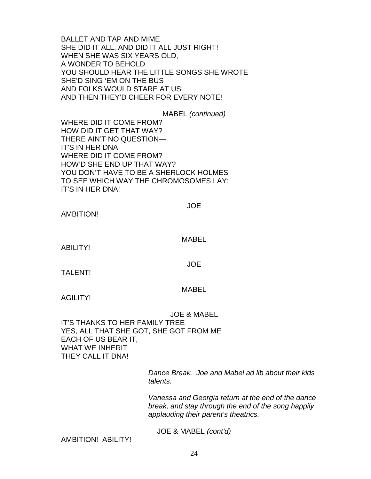BALLET AND TAP AND MIME SHE DID IT ALL, AND DID IT ALL JUST RIGHT! WHEN SHE WAS SIX YEARS OLD, A WONDER TO BEHOLD YOU SHOULD HEAR THE LITTLE SONGS SHE WROTE SHE'D SING 'EM ON THE BUS AND FOLKS WOULD STARE AT US AND THEN THEY'D CHEER FOR EVERY NOTE!

MABEL *(continued)* WHERE DID IT COME FROM? HOW DID IT GET THAT WAY? THERE AIN'T NO QUESTION— IT'S IN HER DNA WHERE DID IT COME FROM? HOW'D SHE END UP THAT WAY? YOU DON'T HAVE TO BE A SHERLOCK HOLMES TO SEE WHICH WAY THE CHROMOSOMES LAY: IT'S IN HER DNA!

JOE

AMBITION!

MABEL

ABILITY!

JOE

TALENT!

# MABEL

AGILITY!

JOE & MABEL IT'S THANKS TO HER FAMILY TREE YES, ALL THAT SHE GOT, SHE GOT FROM ME EACH OF US BEAR IT, WHAT WE INHERIT THEY CALL IT DNA!

> *Dance Break. Joe and Mabel ad lib about their kids talents.*

> *Vanessa and Georgia return at the end of the dance break, and stay through the end of the song happily applauding their parent's theatrics.*

JOE & MABEL *(cont'd)*

AMBITION! ABILITY!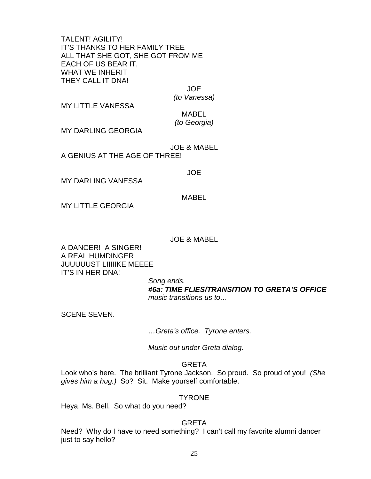TALENT! AGILITY! IT'S THANKS TO HER FAMILY TREE ALL THAT SHE GOT, SHE GOT FROM ME EACH OF US BEAR IT, WHAT WE INHERIT THEY CALL IT DNA!

JOE

*(to Vanessa)*

MY LITTLE VANESSA

MABEL *(to Georgia)*

MY DARLING GEORGIA

JOE & MABEL A GENIUS AT THE AGE OF THREE!

#### JOE

MY DARLING VANESSA

MABEL

MY LITTLE GEORGIA

#### JOE & MABEL

A DANCER! A SINGER! A REAL HUMDINGER JUUUUUST LIIIIIKE MEEEE IT'S IN HER DNA!

> *Song ends. #6a: TIME FLIES/TRANSITION TO GRETA'S OFFICE music transitions us to…*

SCENE SEVEN.

*…Greta's office. Tyrone enters.* 

*Music out under Greta dialog.*

# GRETA

Look who's here. The brilliant Tyrone Jackson. So proud. So proud of you! *(She gives him a hug.)* So? Sit. Make yourself comfortable.

#### **TYRONE**

Heya, Ms. Bell. So what do you need?

### GRETA

Need? Why do I have to need something? I can't call my favorite alumni dancer just to say hello?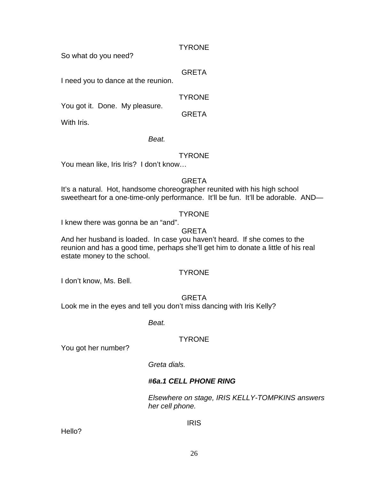### **TYRONE**

So what do you need?

## GRETA

I need you to dance at the reunion.

# TYRONE

GRETA

You got it. Done. My pleasure.

With Iris.

# *Beat.*

# **TYRONE**

You mean like, Iris Iris? I don't know…

# **GRETA**

It's a natural. Hot, handsome choreographer reunited with his high school sweetheart for a one-time-only performance. It'll be fun. It'll be adorable. AND-

# **TYRONE**

I knew there was gonna be an "and".

# GRETA

And her husband is loaded. In case you haven't heard. If she comes to the reunion and has a good time, perhaps she'll get him to donate a little of his real estate money to the school.

# **TYRONE**

I don't know, Ms. Bell.

# GRETA

Look me in the eyes and tell you don't miss dancing with Iris Kelly?

*Beat.*

# **TYRONE**

You got her number?

# *Greta dials.*

# *#6a.1 CELL PHONE RING*

*Elsewhere on stage, IRIS KELLY-TOMPKINS answers her cell phone.*

# IRIS

Hello?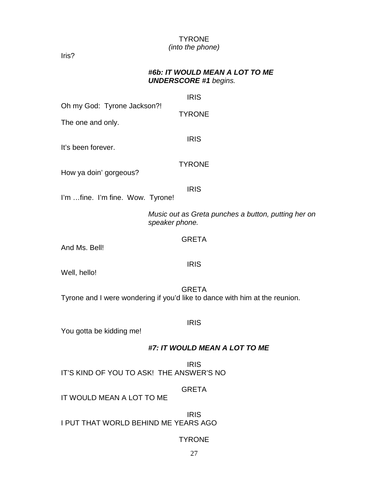# TYRONE *(into the phone)*

Iris?

# *#6b: IT WOULD MEAN A LOT TO ME UNDERSCORE #1 begins.*

|                                                                             | <b>IRIS</b>                   |                                                     |
|-----------------------------------------------------------------------------|-------------------------------|-----------------------------------------------------|
| Oh my God: Tyrone Jackson?!                                                 | <b>TYRONE</b>                 |                                                     |
| The one and only.                                                           |                               |                                                     |
| It's been forever.                                                          | <b>IRIS</b>                   |                                                     |
| How ya doin' gorgeous?                                                      | <b>TYRONE</b>                 |                                                     |
| I'm fine. I'm fine. Wow. Tyrone!                                            | <b>IRIS</b>                   |                                                     |
|                                                                             | speaker phone.                | Music out as Greta punches a button, putting her on |
| And Ms. Bell!                                                               | <b>GRETA</b>                  |                                                     |
| Well, hello!                                                                | <b>IRIS</b>                   |                                                     |
| Tyrone and I were wondering if you'd like to dance with him at the reunion. | <b>GRETA</b>                  |                                                     |
| You gotta be kidding me!                                                    | <b>IRIS</b>                   |                                                     |
|                                                                             | #7: IT WOULD MEAN A LOT TO ME |                                                     |
| IT'S KIND OF YOU TO ASK! THE ANSWER'S NO                                    | <b>IRIS</b>                   |                                                     |
| IT WOULD MEAN A LOT TO ME                                                   | <b>GRETA</b>                  |                                                     |
|                                                                             |                               |                                                     |

IRIS I PUT THAT WORLD BEHIND ME YEARS AGO

# TYRONE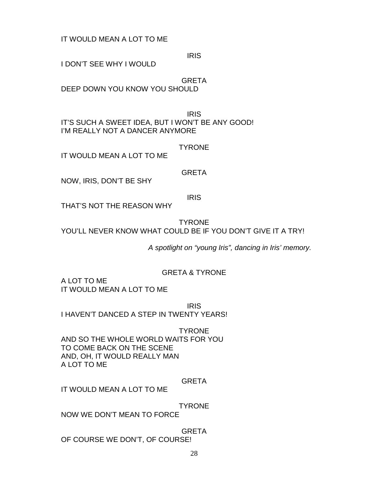IT WOULD MEAN A LOT TO ME

IRIS

I DON'T SEE WHY I WOULD

GRETA DEEP DOWN YOU KNOW YOU SHOULD

IRIS IT'S SUCH A SWEET IDEA, BUT I WON'T BE ANY GOOD! I'M REALLY NOT A DANCER ANYMORE

**TYRONE** 

IT WOULD MEAN A LOT TO ME

GRETA

NOW, IRIS, DON'T BE SHY

IRIS

THAT'S NOT THE REASON WHY

TYRONE YOU'LL NEVER KNOW WHAT COULD BE IF YOU DON'T GIVE IT A TRY!

*A spotlight on "young Iris", dancing in Iris' memory.*

# GRETA & TYRONE

A LOT TO ME IT WOULD MEAN A LOT TO ME

IRIS

I HAVEN'T DANCED A STEP IN TWENTY YEARS!

TYRONE AND SO THE WHOLE WORLD WAITS FOR YOU TO COME BACK ON THE SCENE AND, OH, IT WOULD REALLY MAN A LOT TO ME

GRETA

IT WOULD MEAN A LOT TO ME

**TYRONE** 

NOW WE DON'T MEAN TO FORCE

**GRETA** OF COURSE WE DON'T, OF COURSE!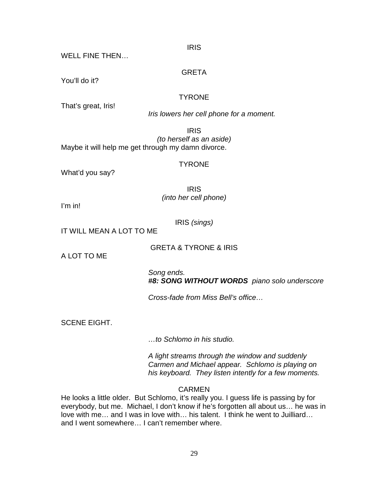#### IRIS

#### WELL FINE THEN…

#### GRETA

You'll do it?

# **TYRONE**

That's great, Iris!

*Iris lowers her cell phone for a moment.*

IRIS *(to herself as an aside)* Maybe it will help me get through my damn divorce.

#### TYRONE

What'd you say?

IRIS *(into her cell phone)*

I'm in!

IRIS *(sings)*

IT WILL MEAN A LOT TO ME

GRETA & TYRONE & IRIS

A LOT TO ME

*Song ends. #8: SONG WITHOUT WORDS piano solo underscore*

*Cross-fade from Miss Bell's office…*

SCENE EIGHT.

*…to Schlomo in his studio.*

*A light streams through the window and suddenly Carmen and Michael appear. Schlomo is playing on his keyboard. They listen intently for a few moments.* 

# **CARMEN**

He looks a little older. But Schlomo, it's really you. I guess life is passing by for everybody, but me. Michael, I don't know if he's forgotten all about us… he was in love with me… and I was in love with… his talent. I think he went to Juilliard… and I went somewhere… I can't remember where.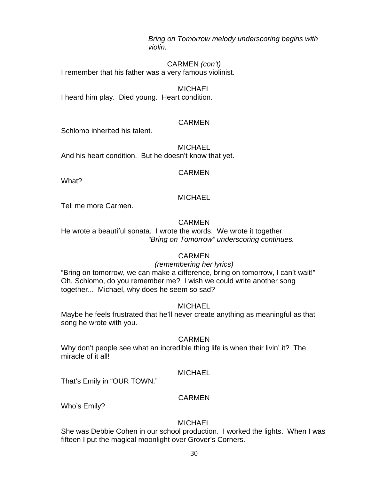*Bring on Tomorrow melody underscoring begins with violin.* 

CARMEN *(con't)* I remember that his father was a very famous violinist.

**MICHAEL** I heard him play. Died young. Heart condition.

# **CARMEN**

Schlomo inherited his talent.

**MICHAEL** And his heart condition. But he doesn't know that yet.

# CARMEN

What?

# **MICHAEL**

Tell me more Carmen.

# CARMEN

He wrote a beautiful sonata. I wrote the words. We wrote it together. *"Bring on Tomorrow" underscoring continues.*

# CARMEN

# *(remembering her lyrics)*

"Bring on tomorrow, we can make a difference, bring on tomorrow, I can't wait!" Oh, Schlomo, do you remember me? I wish we could write another song together... Michael, why does he seem so sad?

# **MICHAEL**

Maybe he feels frustrated that he'll never create anything as meaningful as that song he wrote with you.

# CARMEN

Why don't people see what an incredible thing life is when their livin' it? The miracle of it all!

# **MICHAEL**

That's Emily in "OUR TOWN."

# CARMEN

Who's Emily?

# **MICHAEL**

She was Debbie Cohen in our school production. I worked the lights. When I was fifteen I put the magical moonlight over Grover's Corners.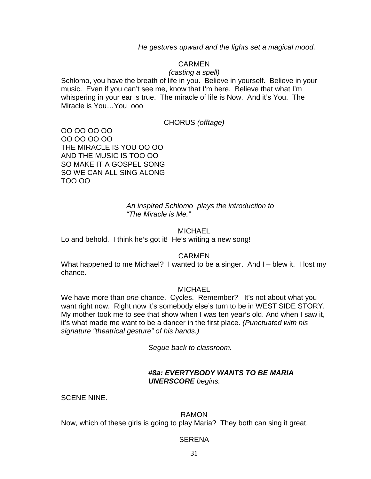*He gestures upward and the lights set a magical mood.*

# CARMEN

#### *(casting a spell)*

Schlomo, you have the breath of life in you. Believe in yourself. Believe in your music. Even if you can't see me, know that I'm here. Believe that what I'm whispering in your ear is true. The miracle of life is Now. And it's You. The Miracle is You…You ooo

CHORUS *(offtage)*

OO OO OO OO OO OO OO OO THE MIRACLE IS YOU OO OO AND THE MUSIC IS TOO OO SO MAKE IT A GOSPEL SONG SO WE CAN ALL SING ALONG TOO OO

> *An inspired Schlomo plays the introduction to "The Miracle is Me."*

#### **MICHAEL**

Lo and behold. I think he's got it! He's writing a new song!

#### CARMEN

What happened to me Michael? I wanted to be a singer. And I – blew it. I lost my chance.

#### **MICHAEL**

We have more than *one* chance. Cycles. Remember? It's not about what you want right now. Right now it's somebody else's turn to be in WEST SIDE STORY. My mother took me to see that show when I was ten year's old. And when I saw it, it's what made me want to be a dancer in the first place. *(Punctuated with his signature "theatrical gesture" of his hands.)*

*Segue back to classroom.* 

### *#8a: EVERTYBODY WANTS TO BE MARIA UNERSCORE begins.*

SCENE NINE.

#### RAMON

Now, which of these girls is going to play Maria? They both can sing it great.

#### **SERENA**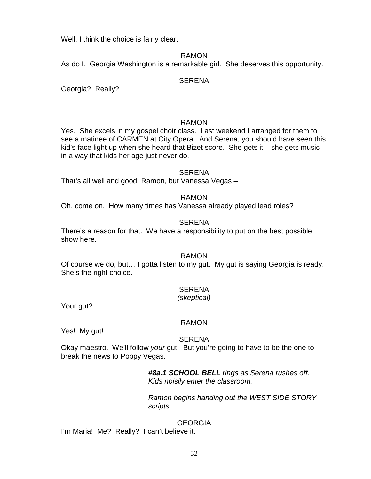Well, I think the choice is fairly clear.

### RAMON

As do I. Georgia Washington is a remarkable girl. She deserves this opportunity.

### **SERENA**

Georgia? Really?

### RAMON

Yes. She excels in my gospel choir class. Last weekend I arranged for them to see a matinee of CARMEN at City Opera. And Serena, you should have seen this kid's face light up when she heard that Bizet score. She gets it – she gets music in a way that kids her age just never do.

#### **SERENA**

That's all well and good, Ramon, but Vanessa Vegas –

### RAMON

Oh, come on. How many times has Vanessa already played lead roles?

### **SERENA**

There's a reason for that. We have a responsibility to put on the best possible show here.

#### RAMON

Of course we do, but… I gotta listen to my gut. My gut is saying Georgia is ready. She's the right choice.

# SERENA

#### *(skeptical)*

Your gut?

#### RAMON

Yes! My gut!

#### **SERENA**

Okay maestro. We'll follow *your* gut. But you're going to have to be the one to break the news to Poppy Vegas.

> *#8a.1 SCHOOL BELL rings as Serena rushes off. Kids noisily enter the classroom.*

*Ramon begins handing out the WEST SIDE STORY scripts.*

# **GEORGIA**

I'm Maria! Me? Really? I can't believe it.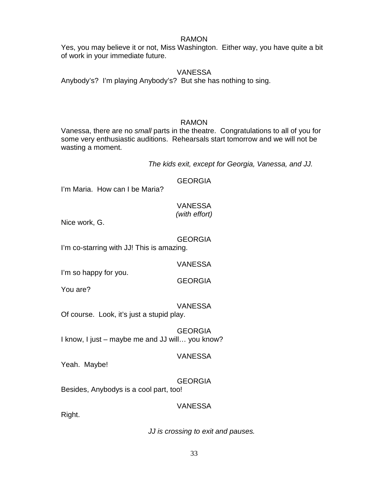#### RAMON

Yes, you may believe it or not, Miss Washington. Either way, you have quite a bit of work in your immediate future.

### VANESSA

Anybody's? I'm playing Anybody's? But she has nothing to sing.

#### RAMON

Vanessa, there are no *small* parts in the theatre. Congratulations to all of you for some very enthusiastic auditions. Rehearsals start tomorrow and we will not be wasting a moment.

*The kids exit, except for Georgia, Vanessa, and JJ.* 

GEORGIA

I'm Maria. How can I be Maria?

#### VANESSA *(with effort)*

Nice work, G.

# GEORGIA

I'm co-starring with JJ! This is amazing.

#### VANESSA

GEORGIA

I'm so happy for you.

You are?

# VANESSA

Of course. Look, it's just a stupid play.

GEORGIA I know, I just – maybe me and JJ will… you know?

# VANESSA

Yeah. Maybe!

GEORGIA Besides, Anybodys is a cool part, too!

# VANESSA

Right.

*JJ is crossing to exit and pauses.*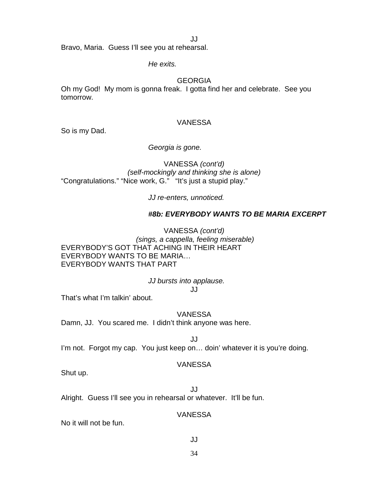JJ

Bravo, Maria. Guess I'll see you at rehearsal.

*He exits.*

#### GEORGIA

Oh my God! My mom is gonna freak. I gotta find her and celebrate. See you tomorrow.

#### VANESSA

So is my Dad.

#### *Georgia is gone.*

VANESSA *(cont'd) (self-mockingly and thinking she is alone)* "Congratulations." "Nice work, G." "It's just a stupid play."

*JJ re-enters, unnoticed.*

# *#8b: EVERYBODY WANTS TO BE MARIA EXCERPT*

VANESSA *(cont'd) (sings, a cappella, feeling miserable)* EVERYBODY'S GOT THAT ACHING IN THEIR HEART EVERYBODY WANTS TO BE MARIA… EVERYBODY WANTS THAT PART

#### *JJ bursts into applause.*

JJ

That's what I'm talkin' about.

# VANESSA

Damn, JJ. You scared me. I didn't think anyone was here.

JJ I'm not. Forgot my cap. You just keep on... doin' whatever it is you're doing.

#### VANESSA

Shut up.

JJ Alright. Guess I'll see you in rehearsal or whatever. It'll be fun.

# VANESSA

No it will not be fun.

JJ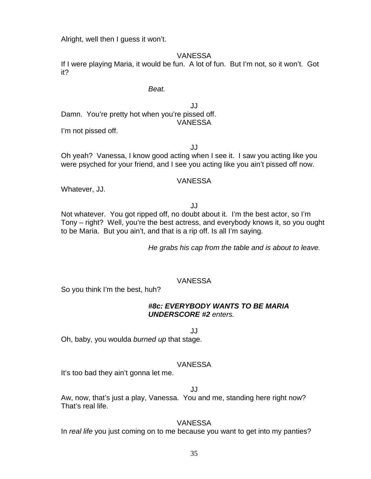Alright, well then I guess it won't.

### VANESSA

If I were playing Maria, it would be fun. A lot of fun. But I'm not, so it won't. Got it?

## *Beat.*

JJ Damn. You're pretty hot when you're pissed off. VANESSA

I'm not pissed off.

JJ

Oh yeah? Vanessa, I know good acting when I see it. I saw you acting like you were psyched for your friend, and I see you acting like you ain't pissed off now.

#### VANESSA

Whatever, JJ.

JJ

Not whatever. You got ripped off, no doubt about it. I'm the best actor, so I'm Tony – right? Well, you're the best actress, and everybody knows it, so you ought to be Maria. But you ain't, and that is a rip off. Is all I'm saying.

*He grabs his cap from the table and is about to leave.* 

#### VANESSA

So you think I'm the best, huh?

#### *#8c: EVERYBODY WANTS TO BE MARIA UNDERSCORE #2 enters.*

JJ

Oh, baby, you woulda *burned up* that stage.

#### VANESSA

It's too bad they ain't gonna let me.

## JJ

Aw, now, that's just a play, Vanessa. You and me, standing here right now? That's real life.

#### VANESSA

In *real life* you just coming on to me because you want to get into my panties?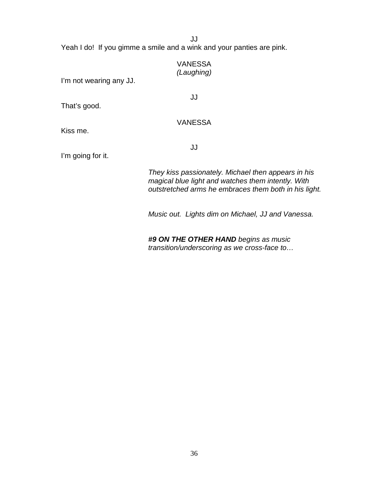JJ

Yeah I do! If you gimme a smile and a wink and your panties are pink.

|                         | <b>VANESSA</b><br>(Laughing)         |
|-------------------------|--------------------------------------|
| I'm not wearing any JJ. |                                      |
| That's good.            | JJ                                   |
| Kiss me.                | <b>VANESSA</b>                       |
| I'm going for it.       | JJ                                   |
|                         | They kiss passionately. Michael then |

*They kiss passionately. Michael then appears in his magical blue light and watches them intently. With outstretched arms he embraces them both in his light.* 

*Music out. Lights dim on Michael, JJ and Vanessa.*

*#9 ON THE OTHER HAND begins as music transition/underscoring as we cross-face to…*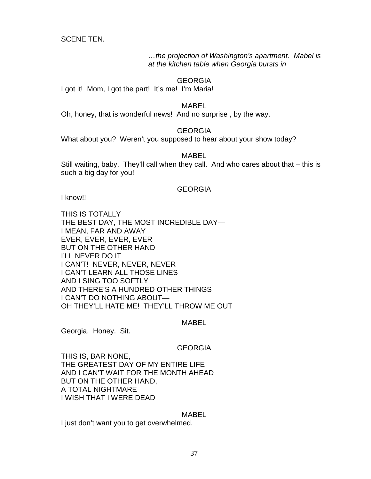SCENE TEN.

*…the projection of Washington's apartment. Mabel is at the kitchen table when Georgia bursts in*

### GEORGIA

I got it! Mom, I got the part! It's me! I'm Maria!

MABEL

Oh, honey, that is wonderful news! And no surprise , by the way.

### GEORGIA

What about you? Weren't you supposed to hear about your show today?

### MABEL

Still waiting, baby. They'll call when they call. And who cares about that – this is such a big day for you!

### GEORGIA

I know!!

THIS IS TOTALLY THE BEST DAY, THE MOST INCREDIBLE DAY— I MEAN, FAR AND AWAY EVER, EVER, EVER, EVER BUT ON THE OTHER HAND I'LL NEVER DO IT I CAN'T! NEVER, NEVER, NEVER I CAN'T LEARN ALL THOSE LINES AND I SING TOO SOFTLY AND THERE'S A HUNDRED OTHER THINGS I CAN'T DO NOTHING ABOUT— OH THEY'LL HATE ME! THEY'LL THROW ME OUT

#### MABEL

Georgia. Honey. Sit.

### GEORGIA

THIS IS, BAR NONE, THE GREATEST DAY OF MY ENTIRE LIFE AND I CAN'T WAIT FOR THE MONTH AHEAD BUT ON THE OTHER HAND, A TOTAL NIGHTMARE I WISH THAT I WERE DEAD

#### MABEL

I just don't want you to get overwhelmed.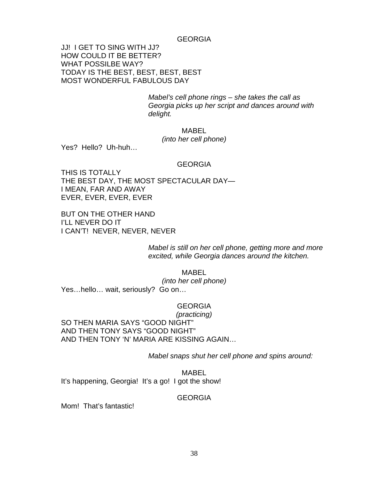#### GEORGIA

JJ! I GET TO SING WITH JJ? HOW COULD IT BE BETTER? WHAT POSSILBE WAY? TODAY IS THE BEST, BEST, BEST, BEST MOST WONDERFUL FABULOUS DAY

> *Mabel's cell phone rings – she takes the call as Georgia picks up her script and dances around with delight.*

> > MABEL

*(into her cell phone)*

Yes? Hello? Uh-huh…

#### GEORGIA

THIS IS TOTALLY THE BEST DAY, THE MOST SPECTACULAR DAY— I MEAN, FAR AND AWAY EVER, EVER, EVER, EVER

BUT ON THE OTHER HAND I'LL NEVER DO IT I CAN'T! NEVER, NEVER, NEVER

> *Mabel is still on her cell phone, getting more and more excited, while Georgia dances around the kitchen.*

MABEL *(into her cell phone)* Yes…hello… wait, seriously? Go on…

#### GEORGIA

*(practicing)* SO THEN MARIA SAYS "GOOD NIGHT" AND THEN TONY SAYS "GOOD NIGHT" AND THEN TONY 'N' MARIA ARE KISSING AGAIN…

*Mabel snaps shut her cell phone and spins around:*

MABEL It's happening, Georgia! It's a go! I got the show!

#### GEORGIA

Mom! That's fantastic!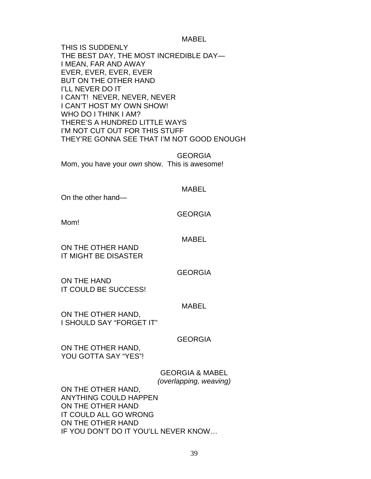#### MABEL

THIS IS SUDDENLY THE BEST DAY, THE MOST INCREDIBLE DAY— I MEAN, FAR AND AWAY EVER, EVER, EVER, EVER BUT ON THE OTHER HAND I'LL NEVER DO IT I CAN'T! NEVER, NEVER, NEVER I CAN'T HOST MY OWN SHOW! WHO DO I THINK I AM? THERE'S A HUNDRED LITTLE WAYS I'M NOT CUT OUT FOR THIS STUFF THEY'RE GONNA SEE THAT I'M NOT GOOD ENOUGH

**GEORGIA** Mom, you have your *own* show. This is awesome!

#### MABEL

On the other hand—

### GEORGIA

Mom!

MABEL

ON THE OTHER HAND IT MIGHT BE DISASTER

GEORGIA

ON THE HAND IT COULD BE SUCCESS!

MABEL

ON THE OTHER HAND, I SHOULD SAY "FORGET IT"

### GEORGIA

ON THE OTHER HAND, YOU GOTTA SAY "YES"!

### GEORGIA & MABEL *(overlapping, weaving)*

ON THE OTHER HAND, ANYTHING COULD HAPPEN ON THE OTHER HAND IT COULD ALL GO WRONG ON THE OTHER HAND IF YOU DON'T DO IT YOU'LL NEVER KNOW…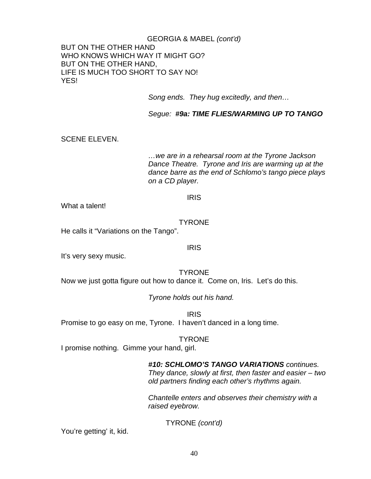### GEORGIA & MABEL *(cont'd)* BUT ON THE OTHER HAND WHO KNOWS WHICH WAY IT MIGHT GO? BUT ON THE OTHER HAND, LIFE IS MUCH TOO SHORT TO SAY NO! YES!

*Song ends. They hug excitedly, and then…*

*Segue: #9a: TIME FLIES/WARMING UP TO TANGO*

SCENE ELEVEN.

*…we are in a rehearsal room at the Tyrone Jackson Dance Theatre. Tyrone and Iris are warming up at the dance barre as the end of Schlomo's tango piece plays on a CD player.*

IRIS

What a talent!

**TYRONE** 

He calls it "Variations on the Tango".

IRIS

It's very sexy music.

**TYRONE** Now we just gotta figure out how to dance it. Come on, Iris. Let's do this.

*Tyrone holds out his hand.*

IRIS

Promise to go easy on me, Tyrone. I haven't danced in a long time.

**TYRONE** 

I promise nothing. Gimme your hand, girl.

### *#10: SCHLOMO'S TANGO VARIATIONS continues.*

*They dance, slowly at first, then faster and easier – two old partners finding each other's rhythms again.*

*Chantelle enters and observes their chemistry with a raised eyebrow.*

TYRONE *(cont'd)*

You're getting' it, kid.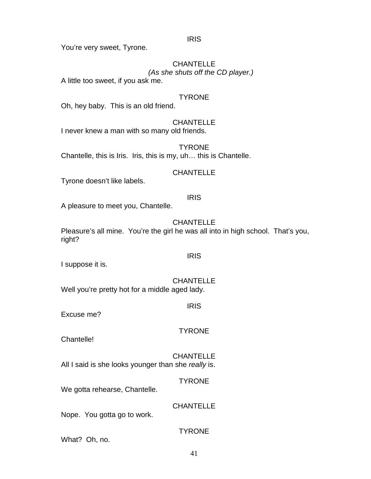IRIS

You're very sweet, Tyrone.

# **CHANTELLE** *(As she shuts off the CD player.)*

A little too sweet, if you ask me.

### **TYRONE**

Oh, hey baby. This is an old friend.

### **CHANTELLE**

I never knew a man with so many old friends.

# **TYRONE**

Chantelle, this is Iris. Iris, this is my, uh… this is Chantelle.

### CHANTELLE

Tyrone doesn't like labels.

### IRIS

A pleasure to meet you, Chantelle.

### **CHANTELLE**

Pleasure's all mine. You're the girl he was all into in high school. That's you, right?

I suppose it is.

# **CHANTELLE**

IRIS

Well you're pretty hot for a middle aged lady.

IRIS

Excuse me?

### **TYRONE**

Chantelle!

**CHANTELLE** All I said is she looks younger than she *really* is.

### **TYRONE**

We gotta rehearse, Chantelle.

### **CHANTELLE**

Nope. You gotta go to work.

### **TYRONE**

What? Oh, no.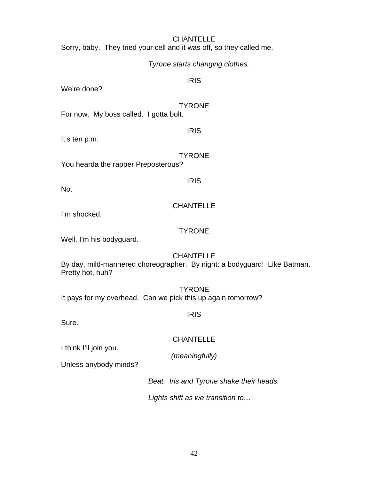### **CHANTELLE**

Sorry, baby. They tried your cell and it was off, so they called me.

### *Tyrone starts changing clothes.*

### IRIS

We're done?

### **TYRONE**

For now. My boss called. I gotta bolt.

It's ten p.m.

IRIS

**TYRONE** 

You hearda the rapper Preposterous?

IRIS

No.

## **CHANTELLE**

I'm shocked.

## **TYRONE**

Well, I'm his bodyguard.

### **CHANTELLE**

By day, mild-mannered choreographer. By night: a bodyguard! Like Batman. Pretty hot, huh?

**TYRONE** It pays for my overhead. Can we pick this up again tomorrow?

IRIS

Sure.

# CHANTELLE

*(meaningfully)*

Unless anybody minds?

I think I'll join you.

*Beat. Iris and Tyrone shake their heads.*

*Lights shift as we transition to…*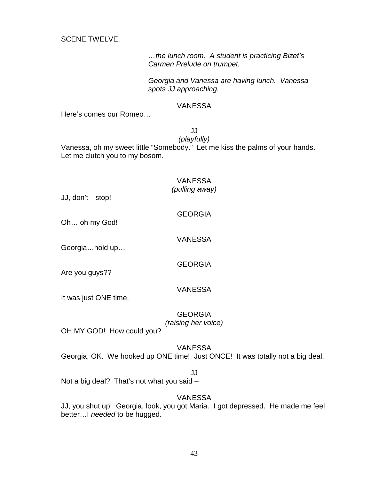SCENE TWELVE.

*…the lunch room. A student is practicing Bizet's Carmen Prelude on trumpet.*

*Georgia and Vanessa are having lunch. Vanessa spots JJ approaching.* 

### VANESSA

Here's comes our Romeo…

JJ

*(playfully)*

Vanessa, oh my sweet little "Somebody." Let me kiss the palms of your hands. Let me clutch you to my bosom.

VANESSA

### *(pulling away)*

GEORGIA

JJ, don't—stop!

Oh… oh my God!

Georgia…hold up…

VANESSA

**GEORGIA** 

Are you guys??

It was just ONE time.

#### **GEORGIA** *(raising her voice)*

VANESSA

OH MY GOD! How could you?

### VANESSA

Georgia, OK. We hooked up ONE time! Just ONCE! It was totally not a big deal.

### JJ

Not a big deal? That's not what you said –

### VANESSA

JJ, you shut up! Georgia, look, you got Maria. I got depressed. He made me feel better…I *needed* to be hugged.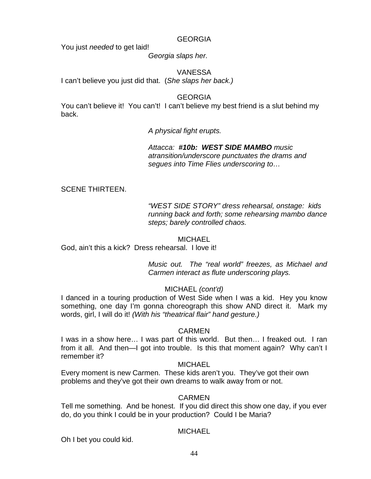### GEORGIA

You just *needed* to get laid!

*Georgia slaps her.* 

VANESSA I can't believe you just did that. (*She slaps her back.)* 

GEORGIA

You can't believe it! You can't! I can't believe my best friend is a slut behind my back.

*A physical fight erupts.* 

*Attacca: #10b: WEST SIDE MAMBO music atransition/underscore punctuates the drams and segues into Time Flies underscoring to…*

### SCENE THIRTEEN.

*"WEST SIDE STORY" dress rehearsal, onstage: kids running back and forth; some rehearsing mambo dance steps; barely controlled chaos.*

### **MICHAEL**

God, ain't this a kick? Dress rehearsal. I love it!

*Music out. The "real world" freezes, as Michael and Carmen interact as flute underscoring plays.*

### MICHAEL *(cont'd)*

I danced in a touring production of West Side when I was a kid. Hey you know something, one day I'm gonna choreograph this show AND direct it. Mark my words, girl, I will do it! *(With his "theatrical flair" hand gesture.)*

### CARMEN

I was in a show here… I was part of this world. But then… I freaked out. I ran from it all. And then—I got into trouble. Is this that moment again? Why can't I remember it?

### **MICHAEL**

Every moment is new Carmen. These kids aren't you. They've got their own problems and they've got their own dreams to walk away from or not.

### CARMEN

Tell me something. And be honest. If you did direct this show one day, if you ever do, do you think I could be in your production? Could I be Maria?

### MICHAEL

Oh I bet you could kid.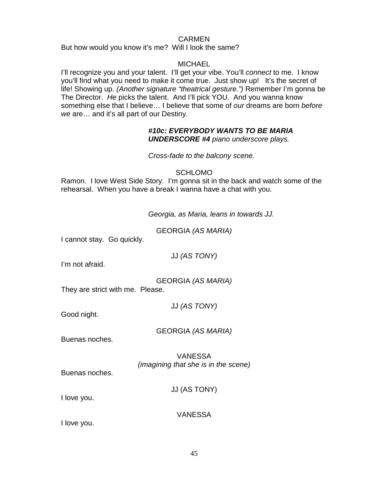### CARMEN

But how would you know it's me? Will I look the same?

### **MICHAEL**

I'll recognize you and your talent. I'll get your vibe. You'll *connect* to me. I know you'll find what you need to make it come true. Just show up! It's the secret of life! Showing up. *(Another signature "theatrical gesture.")* Remember I'm gonna be The Director. *He* picks the talent. And I'll pick YOU. And you wanna know something else that I believe… I believe that some of *our* dreams are born *before we* are… and it's all part of our Destiny.

### *#10c: EVERYBODY WANTS TO BE MARIA UNDERSCORE #4 piano underscore plays.*

*Cross-fade to the balcony scene.*

### SCHLOMO

Ramon. I love West Side Story. I'm gonna sit in the back and watch some of the rehearsal. When you have a break I wanna have a chat with you.

*Georgia, as Maria, leans in towards JJ.*

GEORGIA *(AS MARIA)*

I cannot stay. Go quickly.

| JJ (AS TONY) |  |  |  |  |
|--------------|--|--|--|--|
|--------------|--|--|--|--|

I'm not afraid.

GEORGIA *(AS MARIA)*

They are strict with me. Please.

JJ *(AS TONY)*

Good night.

GEORGIA *(AS MARIA)*

Buenas noches.

VANESSA *(imagining that she is in the scene)*

Buenas noches.

JJ (AS TONY)

I love you.

VANESSA

I love you.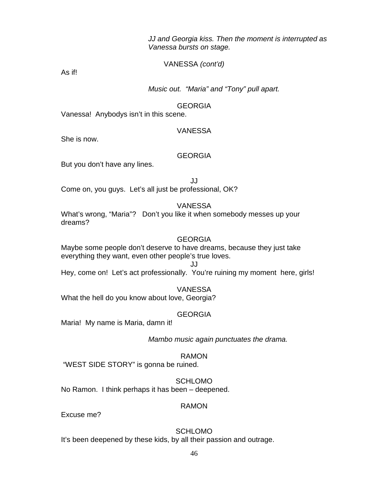### *JJ and Georgia kiss. Then the moment is interrupted as Vanessa bursts on stage.*

### VANESSA *(cont'd)*

As if!

*Music out. "Maria" and "Tony" pull apart.*

### GEORGIA

Vanessa! Anybodys isn't in this scene.

### VANESSA

She is now.

### GEORGIA

But you don't have any lines.

JJ

Come on, you guys. Let's all just be professional, OK?

VANESSA

What's wrong, "Maria"? Don't you like it when somebody messes up your dreams?

### **GEORGIA**

Maybe some people don't deserve to have dreams, because they just take everything they want, even other people's true loves.

JJ

Hey, come on! Let's act professionally. You're ruining my moment here, girls!

### VANESSA

What the hell do you know about love, Georgia?

### **GEORGIA**

Maria! My name is Maria, damn it!

*Mambo music again punctuates the drama.* 

RAMON

"WEST SIDE STORY" is gonna be ruined.

SCHLOMO No Ramon. I think perhaps it has been – deepened.

### RAMON

Excuse me?

### SCHLOMO

It's been deepened by these kids, by all their passion and outrage.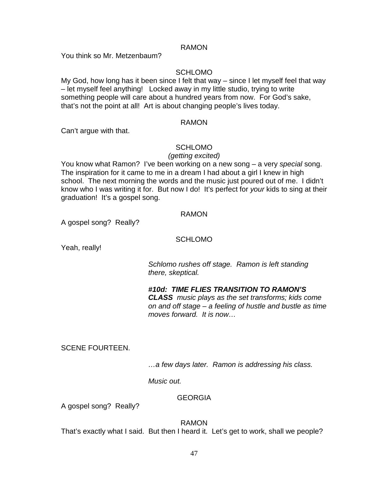### RAMON

You think so Mr. Metzenbaum?

### SCHLOMO

My God, how long has it been since I felt that way – since I let myself feel that way – let myself feel anything! Locked away in my little studio, trying to write something people will care about a hundred years from now. For God's sake, that's not the point at all! Art is about changing people's lives today.

#### RAMON

Can't argue with that.

### SCHLOMO

#### *(getting excited)*

You know what Ramon? I've been working on a new song – a very *special* song. The inspiration for it came to me in a dream I had about a girl I knew in high school. The next morning the words and the music just poured out of me. I didn't know who I was writing it for. But now I do! It's perfect for *your* kids to sing at their graduation! It's a gospel song.

### RAMON

A gospel song? Really?

### **SCHLOMO**

Yeah, really!

*Schlomo rushes off stage. Ramon is left standing there, skeptical.*

*#10d: TIME FLIES TRANSITION TO RAMON'S CLASS music plays as the set transforms; kids come on and off stage – a feeling of hustle and bustle as time moves forward. It is now…*

SCENE FOURTEEN.

*…a few days later. Ramon is addressing his class.*

*Music out.*

### **GEORGIA**

A gospel song? Really?

RAMON

That's exactly what I said. But then I heard it. Let's get to work, shall we people?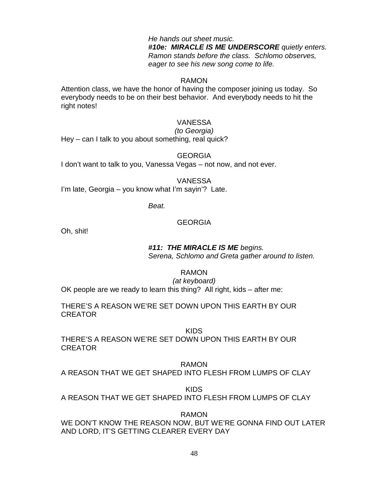*He hands out sheet music. #10e: MIRACLE IS ME UNDERSCORE quietly enters. Ramon stands before the class. Schlomo observes, eager to see his new song come to life.*

### RAMON

Attention class, we have the honor of having the composer joining us today. So everybody needs to be on their best behavior. And everybody needs to hit the right notes!

### VANESSA

*(to Georgia)*

Hey – can I talk to you about something, real quick?

#### **GEORGIA**

I don't want to talk to you, Vanessa Vegas – not now, and not ever.

### VANESSA

I'm late, Georgia – you know what I'm sayin'? Late.

*Beat.*

### GEORGIA

Oh, shit!

### *#11: THE MIRACLE IS ME begins.*

*Serena, Schlomo and Greta gather around to listen.*

RAMON

*(at keyboard)*

OK people are we ready to learn this thing? All right, kids – after me:

THERE'S A REASON WE'RE SET DOWN UPON THIS EARTH BY OUR CREATOR

KIDS

THERE'S A REASON WE'RE SET DOWN UPON THIS EARTH BY OUR CREATOR

RAMON

A REASON THAT WE GET SHAPED INTO FLESH FROM LUMPS OF CLAY

KIDS

A REASON THAT WE GET SHAPED INTO FLESH FROM LUMPS OF CLAY

### RAMON

WE DON'T KNOW THE REASON NOW, BUT WE'RE GONNA FIND OUT LATER AND LORD, IT'S GETTING CLEARER EVERY DAY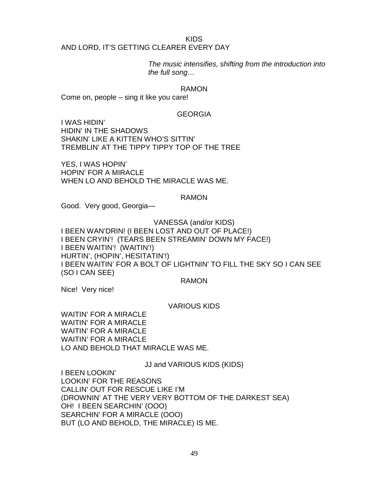#### KIDS

### AND LORD, IT'S GETTING CLEARER EVERY DAY

*The music intensifies, shifting from the introduction into the full song…*

### RAMON

Come on, people – sing it like you care!

### GEORGIA

I WAS HIDIN' HIDIN' IN THE SHADOWS SHAKIN' LIKE A KITTEN WHO'S SITTIN' TREMBLIN' AT THE TIPPY TIPPY TOP OF THE TREE

YES, I WAS HOPIN' HOPIN' FOR A MIRACLE WHEN LO AND BEHOLD THE MIRACLE WAS ME.

### RAMON

Good. Very good, Georgia—

VANESSA (and/or KIDS) I BEEN WAN'DRIN! (I BEEN LOST AND OUT OF PLACE!) I BEEN CRYIN'! (TEARS BEEN STREAMIN' DOWN MY FACE!) I BEEN WAITIN'! (WAITIN'!) HURTIN', (HOPIN', HESITATIN'!) I BEEN WAITIN' FOR A BOLT OF LIGHTNIN' TO FILL THE SKY SO I CAN SEE (SO I CAN SEE)

RAMON

Nice! Very nice!

### VARIOUS KIDS

WAITIN' FOR A MIRACLE WAITIN' FOR A MIRACLE WAITIN' FOR A MIRACLE WAITIN' FOR A MIRACLE LO AND BEHOLD THAT MIRACLE WAS ME.

JJ and VARIOUS KIDS (KIDS)

I BEEN LOOKIN' LOOKIN' FOR THE REASONS CALLIN' OUT FOR RESCUE LIKE I'M (DROWNIN' AT THE VERY VERY BOTTOM OF THE DARKEST SEA) OH! I BEEN SEARCHIN' (OOO) SEARCHIN' FOR A MIRACLE (OOO) BUT (LO AND BEHOLD, THE MIRACLE) IS ME.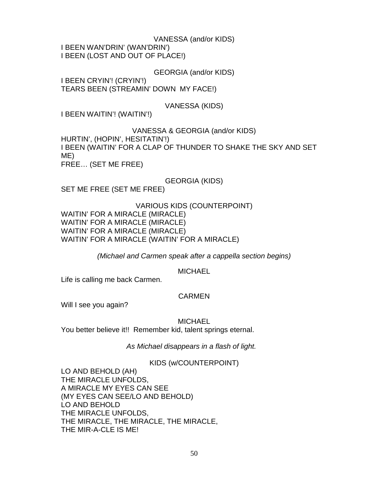VANESSA (and/or KIDS) I BEEN WAN'DRIN' (WAN'DRIN') I BEEN (LOST AND OUT OF PLACE!)

GEORGIA (and/or KIDS)

I BEEN CRYIN'! (CRYIN'!) TEARS BEEN (STREAMIN' DOWN MY FACE!)

VANESSA (KIDS)

I BEEN WAITIN'! (WAITIN'!)

VANESSA & GEORGIA (and/or KIDS) HURTIN', (HOPIN', HESITATIN'!) I BEEN (WAITIN' FOR A CLAP OF THUNDER TO SHAKE THE SKY AND SET ME) FREE… (SET ME FREE)

GEORGIA (KIDS)

SET ME FREE (SET ME FREE)

VARIOUS KIDS (COUNTERPOINT) WAITIN' FOR A MIRACLE (MIRACLE) WAITIN' FOR A MIRACLE (MIRACLE) WAITIN' FOR A MIRACLE (MIRACLE) WAITIN' FOR A MIRACLE (WAITIN' FOR A MIRACLE)

*(Michael and Carmen speak after a cappella section begins)*

**MICHAEL** 

Life is calling me back Carmen.

### CARMEN

Will I see you again?

**MICHAEL** 

You better believe it!! Remember kid, talent springs eternal.

*As Michael disappears in a flash of light.* 

KIDS (w/COUNTERPOINT)

LO AND BEHOLD (AH) THE MIRACLE UNFOLDS, A MIRACLE MY EYES CAN SEE (MY EYES CAN SEE/LO AND BEHOLD) LO AND BEHOLD THE MIRACLE UNFOLDS, THE MIRACLE, THE MIRACLE, THE MIRACLE, THE MIR-A-CLE IS ME!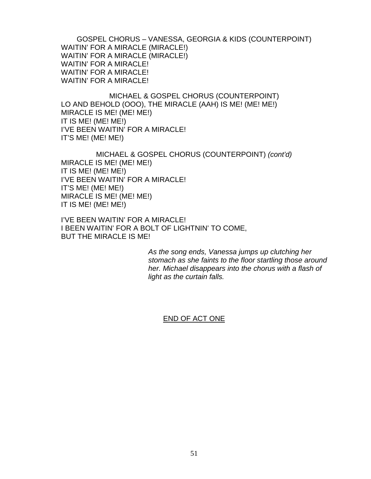GOSPEL CHORUS – VANESSA, GEORGIA & KIDS (COUNTERPOINT) WAITIN' FOR A MIRACLE (MIRACLE!) WAITIN' FOR A MIRACLE (MIRACLE!) WAITIN' FOR A MIRACLE! WAITIN' FOR A MIRACLE! WAITIN' FOR A MIRACLE!

MICHAEL & GOSPEL CHORUS (COUNTERPOINT) LO AND BEHOLD (OOO), THE MIRACLE (AAH) IS ME! (ME! ME!) MIRACLE IS ME! (ME! ME!) IT IS ME! (ME! ME!) I'VE BEEN WAITIN' FOR A MIRACLE! IT'S ME! (ME! ME!)

MICHAEL & GOSPEL CHORUS (COUNTERPOINT) *(cont'd)* MIRACLE IS ME! (ME! ME!) IT IS ME! (ME! ME!) I'VE BEEN WAITIN' FOR A MIRACLE! IT'S ME! (ME! ME!) MIRACLE IS ME! (ME! ME!) IT IS ME! (ME! ME!)

I'VE BEEN WAITIN' FOR A MIRACLE! I BEEN WAITIN' FOR A BOLT OF LIGHTNIN' TO COME, BUT THE MIRACLE IS ME!

> *As the song ends, Vanessa jumps up clutching her stomach as she faints to the floor startling those around her. Michael disappears into the chorus with a flash of light as the curtain falls.*

### END OF ACT ONE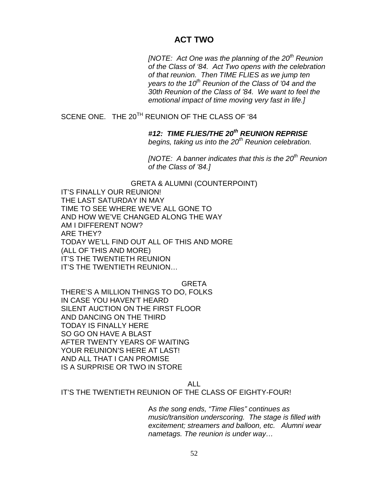# **ACT TWO**

*[NOTE: Act One was the planning of the 20th Reunion of the Class of '84. Act Two opens with the celebration of that reunion. Then TIME FLIES as we jump ten years to the 10th Reunion of the Class of '04 and the 30th Reunion of the Class of '84. We want to feel the emotional impact of time moving very fast in life.]*

SCENE ONE. THE 20<sup>TH</sup> REUNION OF THE CLASS OF '84

*#12: TIME FLIES/THE 20th REUNION REPRISE* 

*begins, taking us into the 20th Reunion celebration.*

*[NOTE: A banner indicates that this is the 20th Reunion of the Class of '84.]* 

GRETA & ALUMNI (COUNTERPOINT) IT'S FINALLY OUR REUNION! THE LAST SATURDAY IN MAY TIME TO SEE WHERE WE'VE ALL GONE TO AND HOW WE'VE CHANGED ALONG THE WAY AM I DIFFERENT NOW? ARE THEY? TODAY WE'LL FIND OUT ALL OF THIS AND MORE (ALL OF THIS AND MORE) IT'S THE TWENTIETH REUNION IT'S THE TWENTIETH REUNION…

GRETA

THERE'S A MILLION THINGS TO DO, FOLKS IN CASE YOU HAVEN'T HEARD SILENT AUCTION ON THE FIRST FLOOR AND DANCING ON THE THIRD TODAY IS FINALLY HERE SO GO ON HAVE A BLAST AFTER TWENTY YEARS OF WAITING YOUR REUNION'S HERE AT LAST! AND ALL THAT I CAN PROMISE IS A SURPRISE OR TWO IN STORE

ALL

IT'S THE TWENTIETH REUNION OF THE CLASS OF EIGHTY-FOUR!

A*s the song ends, "Time Flies" continues as music/transition underscoring. The stage is filled with excitement; streamers and balloon, etc. Alumni wear nametags. The reunion is under way…*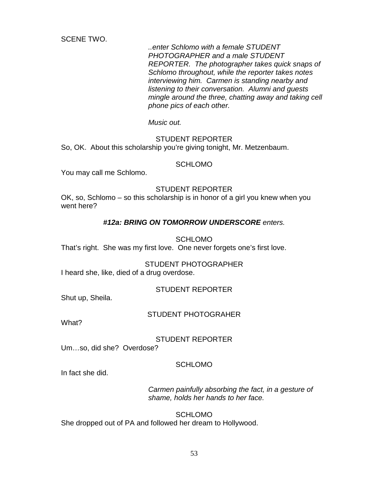SCENE TWO.

*..enter Schlomo with a female STUDENT PHOTOGRAPHER and a male STUDENT REPORTER. The photographer takes quick snaps of Schlomo throughout, while the reporter takes notes interviewing him. Carmen is standing nearby and listening to their conversation. Alumni and guests mingle around the three, chatting away and taking cell phone pics of each other.* 

*Music out.*

### STUDENT REPORTER

So, OK. About this scholarship you're giving tonight, Mr. Metzenbaum.

#### SCHLOMO

You may call me Schlomo.

### STUDENT REPORTER

OK, so, Schlomo – so this scholarship is in honor of a girl you knew when you went here?

### *#12a: BRING ON TOMORROW UNDERSCORE enters.*

#### **SCHLOMO**

That's right. She was my first love. One never forgets one's first love.

#### STUDENT PHOTOGRAPHER

I heard she, like, died of a drug overdose.

### STUDENT REPORTER

Shut up, Sheila.

#### STUDENT PHOTOGRAHER

What?

### STUDENT REPORTER

Um…so, did she? Overdose?

#### SCHLOMO

In fact she did.

*Carmen painfully absorbing the fact, in a gesture of shame, holds her hands to her face.* 

**SCHLOMO** She dropped out of PA and followed her dream to Hollywood.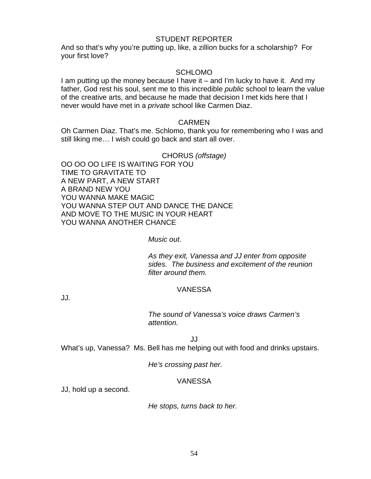#### STUDENT REPORTER

And so that's why you're putting up, like, a zillion bucks for a scholarship? For your first love?

### SCHLOMO

I am putting up the money because I have it – and I'm lucky to have it. And my father, God rest his soul, sent me to this incredible *public* school to learn the value of the creative arts, and because he made that decision I met kids here that I never would have met in a *private* school like Carmen Diaz.

### CARMEN

Oh Carmen Diaz. That's me. Schlomo, thank you for remembering who I was and still liking me… I wish could go back and start all over.

### CHORUS *(offstage)*

OO OO OO LIFE IS WAITING FOR YOU TIME TO GRAVITATE TO A NEW PART, A NEW START A BRAND NEW YOU YOU WANNA MAKE MAGIC YOU WANNA STEP OUT AND DANCE THE DANCE AND MOVE TO THE MUSIC IN YOUR HEART YOU WANNA ANOTHER CHANCE

### *Music out.*

*As they exit, Vanessa and JJ enter from opposite sides. The business and excitement of the reunion filter around them.* 

### VANESSA

JJ.

*The sound of Vanessa's voice draws Carmen's attention.* 

JJ

What's up, Vanessa? Ms. Bell has me helping out with food and drinks upstairs.

*He's crossing past her.*

### VANESSA

JJ, hold up a second.

*He stops, turns back to her.*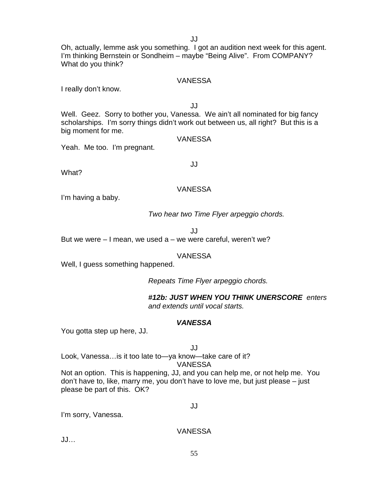JJ

Oh, actually, lemme ask you something. I got an audition next week for this agent. I'm thinking Bernstein or Sondheim – maybe "Being Alive". From COMPANY? What do you think?

### VANESSA

I really don't know.

JJ

Well. Geez. Sorry to bother you, Vanessa. We ain't all nominated for big fancy scholarships. I'm sorry things didn't work out between us, all right? But this is a big moment for me.

VANESSA

Yeah. Me too. I'm pregnant.

JJ

What?

### VANESSA

I'm having a baby.

*Two hear two Time Flyer arpeggio chords.* 

JJ

But we were  $-1$  mean, we used a  $-$  we were careful, weren't we?

### VANESSA

Well, I guess something happened.

*Repeats Time Flyer arpeggio chords.* 

*#12b: JUST WHEN YOU THINK UNERSCORE enters and extends until vocal starts.*

### *VANESSA*

You gotta step up here, JJ.

JJ

Look, Vanessa…is it too late to—ya know—take care of it? VANESSA

Not an option. This is happening, JJ, and you can help me, or not help me. You don't have to, like, marry me, you don't have to love me, but just please – just please be part of this. OK?

### JJ

I'm sorry, Vanessa.

### VANESSA

JJ…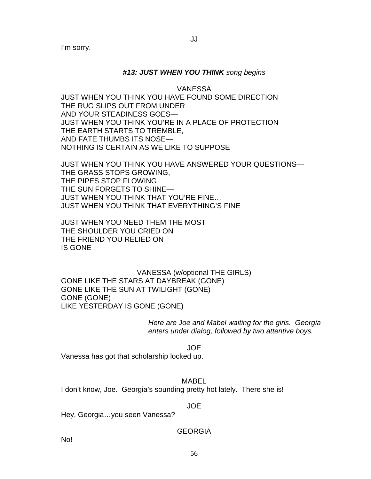I'm sorry.

### *#13: JUST WHEN YOU THINK song begins*

VANESSA

JUST WHEN YOU THINK YOU HAVE FOUND SOME DIRECTION THE RUG SLIPS OUT FROM UNDER AND YOUR STEADINESS GOES— JUST WHEN YOU THINK YOU'RE IN A PLACE OF PROTECTION THE EARTH STARTS TO TREMBLE, AND FATE THUMBS ITS NOSE— NOTHING IS CERTAIN AS WE LIKE TO SUPPOSE

JUST WHEN YOU THINK YOU HAVE ANSWERED YOUR QUESTIONS— THE GRASS STOPS GROWING, THE PIPES STOP FLOWING THE SUN FORGETS TO SHINE— JUST WHEN YOU THINK THAT YOU'RE FINE… JUST WHEN YOU THINK THAT EVERYTHING'S FINE

JUST WHEN YOU NEED THEM THE MOST THE SHOULDER YOU CRIED ON THE FRIEND YOU RELIED ON IS GONE

VANESSA (w/optional THE GIRLS) GONE LIKE THE STARS AT DAYBREAK (GONE) GONE LIKE THE SUN AT TWILIGHT (GONE) GONE (GONE) LIKE YESTERDAY IS GONE (GONE)

> *Here are Joe and Mabel waiting for the girls. Georgia enters under dialog, followed by two attentive boys.*

> > JOE

Vanessa has got that scholarship locked up.

MABEL I don't know, Joe. Georgia's sounding pretty hot lately. There she is!

JOE

Hey, Georgia…you seen Vanessa?

GEORGIA

No!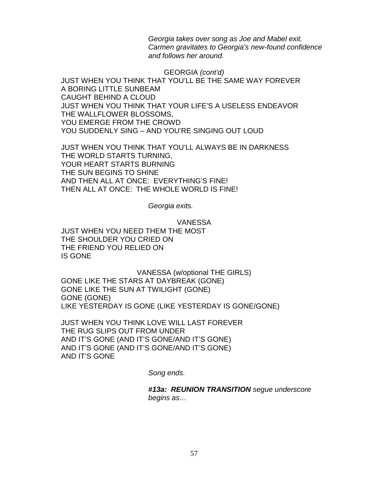*Georgia takes over song as Joe and Mabel exit. Carmen gravitates to Georgia's new-found confidence and follows her around.*

GEORGIA *(cont'd)* JUST WHEN YOU THINK THAT YOU'LL BE THE SAME WAY FOREVER A BORING LITTLE SUNBEAM CAUGHT BEHIND A CLOUD JUST WHEN YOU THINK THAT YOUR LIFE'S A USELESS ENDEAVOR THE WALLFLOWER BLOSSOMS, YOU EMERGE FROM THE CROWD YOU SUDDENLY SING – AND YOU'RE SINGING OUT LOUD

JUST WHEN YOU THINK THAT YOU'LL ALWAYS BE IN DARKNESS THE WORLD STARTS TURNING, YOUR HEART STARTS BURNING THE SUN BEGINS TO SHINE AND THEN ALL AT ONCE: EVERYTHING'S FINE! THEN ALL AT ONCE: THE WHOLE WORLD IS FINE!

*Georgia exits.*

VANESSA

JUST WHEN YOU NEED THEM THE MOST THE SHOULDER YOU CRIED ON THE FRIEND YOU RELIED ON IS GONE

VANESSA (w/optional THE GIRLS) GONE LIKE THE STARS AT DAYBREAK (GONE) GONE LIKE THE SUN AT TWILIGHT (GONE) GONE (GONE) LIKE YESTERDAY IS GONE (LIKE YESTERDAY IS GONE/GONE)

JUST WHEN YOU THINK LOVE WILL LAST FOREVER THE RUG SLIPS OUT FROM UNDER AND IT'S GONE (AND IT'S GONE/AND IT'S GONE) AND IT'S GONE (AND IT'S GONE/AND IT'S GONE) AND IT'S GONE

*Song ends.* 

*#13a: REUNION TRANSITION segue underscore begins as…*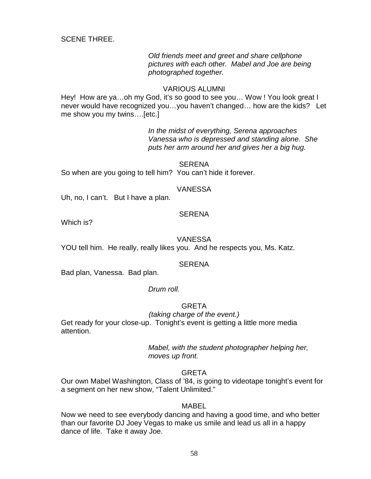SCENE THREE.

*Old friends meet and greet and share cellphone pictures with each other. Mabel and Joe are being photographed together.* 

#### VARIOUS ALUMNI

Hey! How are ya...oh my God, it's so good to see you... Wow ! You look great I never would have recognized you…you haven't changed… how are the kids? Let me show you my twins….[etc.]

> *In the midst of everything, Serena approaches Vanessa who is depressed and standing alone. She puts her arm around her and gives her a big hug.*

SERENA So when are you going to tell him? You can't hide it forever.

### VANESSA

Uh, no, I can't. But I have a plan.

### **SERENA**

Which is?

### VANESSA

YOU tell him. He really, really likes you. And he respects you, Ms. Katz.

### **SERENA**

Bad plan, Vanessa. Bad plan.

#### *Drum roll.*

### **GRETA**

#### *(taking charge of the event.)*

Get ready for your close-up. Tonight's event is getting a little more media attention.

### *Mabel, with the student photographer helping her, moves up front.*

#### **GRETA**

Our own Mabel Washington, Class of '84, is going to videotape tonight's event for a segment on her new show, "Talent Unlimited."

#### MABEL

Now we need to see everybody dancing and having a good time, and who better than our favorite DJ Joey Vegas to make us smile and lead us all in a happy dance of life. Take it away Joe.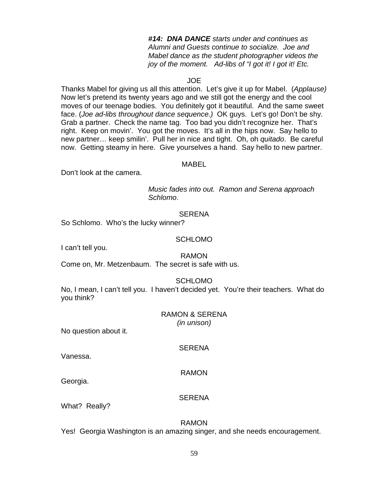*#14: DNA DANCE starts under and continues as Alumni and Guests continue to socialize. Joe and Mabel dance as the student photographer videos the joy of the moment. Ad-libs of "I got it! I got it! Etc.* 

### JOE

Thanks Mabel for giving us all this attention. Let's give it up for Mabel. (*Applause)*  Now let's pretend its twenty years ago and we still got the energy and the cool moves of our teenage bodies. You definitely got it beautiful. And the same sweet face. (*Joe ad-libs throughout dance sequence.)* OK guys. Let's go! Don't be shy. Grab a partner. Check the name tag. Too bad you didn't recognize her. That's right. Keep on movin'. You got the moves. It's all in the hips now. Say hello to new partner… keep smilin'. Pull her in nice and tight. Oh, oh *quitado*. Be careful now. Getting steamy in here. Give yourselves a hand. Say hello to new partner.

#### MABEL

Don't look at the camera.

*Music fades into out. Ramon and Serena approach Schlomo*.

### **SERENA**

So Schlomo. Who's the lucky winner?

#### SCHLOMO

I can't tell you.

RAMON

Come on, Mr. Metzenbaum. The secret is safe with us.

SCHLOMO

No, I mean, I can't tell you. I haven't decided yet. You're their teachers. What do you think?

#### RAMON & SERENA *(in unison)*

No question about it.

**SERENA** 

Vanessa.

### RAMON

Georgia.

#### **SERENA**

What? Really?

### RAMON

Yes! Georgia Washington is an amazing singer, and she needs encouragement.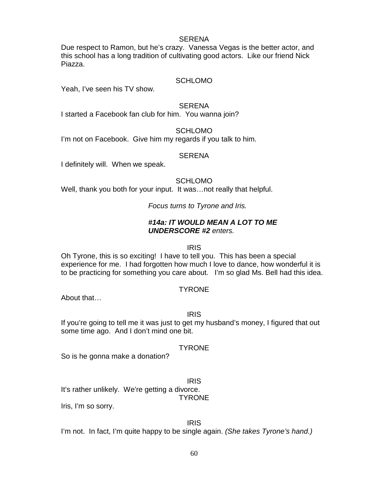### SERENA

Due respect to Ramon, but he's crazy. Vanessa Vegas is the better actor, and this school has a long tradition of cultivating good actors. Like our friend Nick Piazza.

### **SCHLOMO**

Yeah, I've seen his TV show.

#### SERENA

I started a Facebook fan club for him. You wanna join?

SCHLOMO I'm not on Facebook. Give him my regards if you talk to him.

#### **SERENA**

I definitely will. When we speak.

SCHI OMO

Well, thank you both for your input. It was…not really that helpful.

*Focus turns to Tyrone and Iris.* 

### *#14a: IT WOULD MEAN A LOT TO ME UNDERSCORE #2 enters.*

### IRIS

Oh Tyrone, this is so exciting! I have to tell you. This has been a special experience for me. I had forgotten how much I love to dance, how wonderful it is to be practicing for something you care about. I'm so glad Ms. Bell had this idea.

### TYRONE

About that…

### IRIS

If you're going to tell me it was just to get my husband's money, I figured that out some time ago. And I don't mind one bit.

### **TYRONE**

So is he gonna make a donation?

IRIS

It's rather unlikely. We're getting a divorce.

### **TYRONE**

Iris, I'm so sorry.

#### IRIS I'm not. In fact, I'm quite happy to be single again. *(She takes Tyrone's hand.)*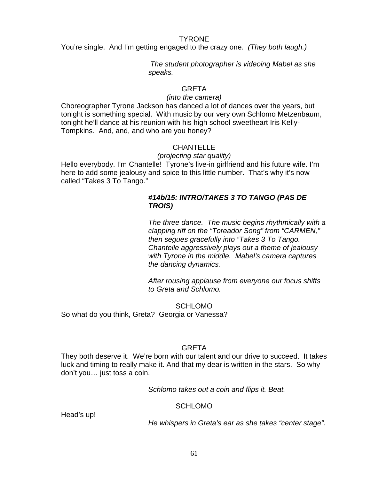#### TYRONE

You're single. And I'm getting engaged to the crazy one. *(They both laugh.)*

*The student photographer is videoing Mabel as she speaks.* 

### GRETA

### *(into the camera)*

Choreographer Tyrone Jackson has danced a lot of dances over the years, but tonight is something special. With music by our very own Schlomo Metzenbaum, tonight he'll dance at his reunion with his high school sweetheart Iris Kelly-Tompkins. And, and, and who are you honey?

### **CHANTELLE**

### *(projecting star quality)*

Hello everybody. I'm Chantelle! Tyrone's live-in girlfriend and his future wife. I'm here to add some jealousy and spice to this little number. That's why it's now called "Takes 3 To Tango."

### *#14b/15: INTRO/TAKES 3 TO TANGO (PAS DE TROIS)*

*The three dance. The music begins rhythmically with a clapping riff on the "Toreador Song" from "CARMEN," then segues gracefully into "Takes 3 To Tango. Chantelle aggressively plays out a theme of jealousy with Tyrone in the middle. Mabel's camera captures the dancing dynamics.*

*After rousing applause from everyone our focus shifts to Greta and Schlomo.* 

**SCHLOMO** So what do you think, Greta? Georgia or Vanessa?

### **GRETA**

They both deserve it. We're born with our talent and our drive to succeed. It takes luck and timing to really make it. And that my dear is written in the stars. So why don't you… just toss a coin.

*Schlomo takes out a coin and flips it. Beat.* 

### **SCHLOMO**

Head's up!

*He whispers in Greta's ear as she takes "center stage".*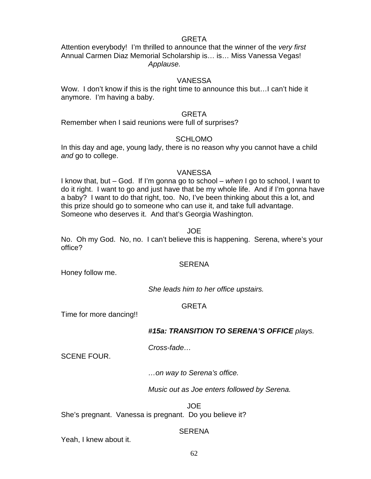### GRETA

Attention everybody! I'm thrilled to announce that the winner of the *very first* Annual Carmen Diaz Memorial Scholarship is… is… Miss Vanessa Vegas! *Applause.*

### VANESSA

Wow. I don't know if this is the right time to announce this but…I can't hide it anymore. I'm having a baby.

### GRETA

Remember when I said reunions were full of surprises?

### **SCHLOMO**

In this day and age, young lady, there is no reason why you cannot have a child *and* go to college.

#### VANESSA

I know that, but – God. If I'm gonna go to school – *when* I go to school, I want to do it right. I want to go and just have that be my whole life. And if I'm gonna have a baby? I want to do that right, too. No, I've been thinking about this a lot, and this prize should go to someone who can use it, and take full advantage. Someone who deserves it. And that's Georgia Washington.

#### JOE

No. Oh my God. No, no. I can't believe this is happening. Serena, where's your office?

### **SERENA**

Honey follow me.

*She leads him to her office upstairs.*

### GRETA

Time for more dancing!!

### *#15a: TRANSITION TO SERENA'S OFFICE plays.*

*Cross-fade…*

SCENE FOUR.

*…on way to Serena's office.*

*Music out as Joe enters followed by Serena.*

JOE

She's pregnant. Vanessa is pregnant. Do you believe it?

### **SERENA**

Yeah, I knew about it.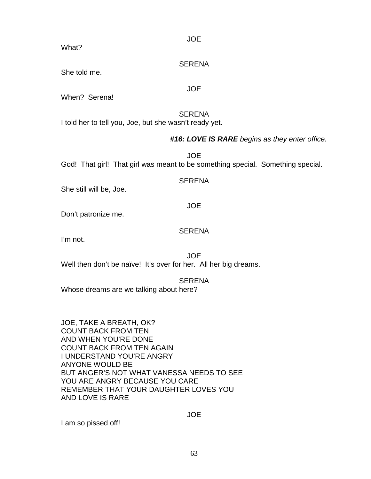JOE

What?

### **SERENA**

JOE

She told me.

When? Serena!

### **SERENA**

I told her to tell you, Joe, but she wasn't ready yet.

### *#16: LOVE IS RARE begins as they enter office.*

JOE God! That girl! That girl was meant to be something special. Something special.

**SERENA** 

She still will be, Joe.

JOE

Don't patronize me.

### SERENA

I'm not.

JOE Well then don't be naïve! It's over for her. All her big dreams.

**SERENA** 

Whose dreams are we talking about here?

JOE, TAKE A BREATH, OK? COUNT BACK FROM TEN AND WHEN YOU'RE DONE COUNT BACK FROM TEN AGAIN I UNDERSTAND YOU'RE ANGRY ANYONE WOULD BE BUT ANGER'S NOT WHAT VANESSA NEEDS TO SEE YOU ARE ANGRY BECAUSE YOU CARE REMEMBER THAT YOUR DAUGHTER LOVES YOU AND LOVE IS RARE

JOE

I am so pissed off!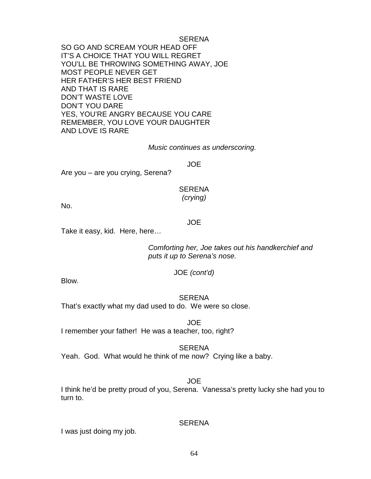SERENA SO GO AND SCREAM YOUR HEAD OFF IT'S A CHOICE THAT YOU WILL REGRET YOU'LL BE THROWING SOMETHING AWAY, JOE MOST PEOPLE NEVER GET HER FATHER'S HER BEST FRIEND AND THAT IS RARE DON'T WASTE LOVE DON'T YOU DARE YES, YOU'RE ANGRY BECAUSE YOU CARE REMEMBER, YOU LOVE YOUR DAUGHTER AND LOVE IS RARE

*Music continues as underscoring.*

JOE

Are you – are you crying, Serena?

### SERENA *(crying)*

No.

#### JOE

Take it easy, kid. Here, here…

*Comforting her, Joe takes out his handkerchief and puts it up to Serena's nose.*

### JOE *(cont'd)*

Blow.

# **SERENA**

That's exactly what my dad used to do. We were so close.

JOE I remember your father! He was a teacher, too, right?

#### **SERENA**

Yeah. God. What would he think of me now? Crying like a baby.

### JOE

I think he'd be pretty proud of you, Serena. Vanessa's pretty lucky she had you to turn to.

### **SERENA**

I was just doing my job.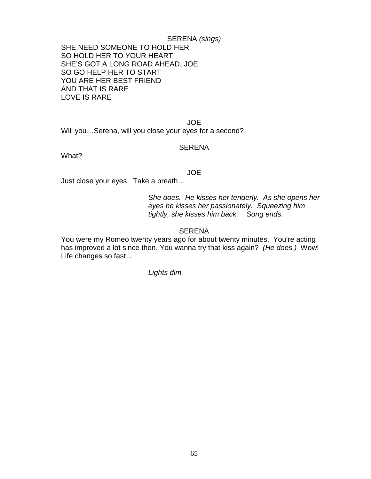SERENA *(sings)* SHE NEED SOMEONE TO HOLD HER SO HOLD HER TO YOUR HEART SHE'S GOT A LONG ROAD AHEAD, JOE SO GO HELP HER TO START YOU ARE HER BEST FRIEND AND THAT IS RARE LOVE IS RARE

JOE Will you…Serena, will you close your eyes for a second?

#### SERENA

What?

#### JOE

Just close your eyes. Take a breath…

*She does. He kisses her tenderly. As she opens her eyes he kisses her passionately. Squeezing him tightly, she kisses him back. Song ends.*

### SERENA

You were my Romeo twenty years ago for about twenty minutes. You're acting has improved a lot since then. You wanna try that kiss again? *(He does.)* Wow! Life changes so fast…

*Lights dim.*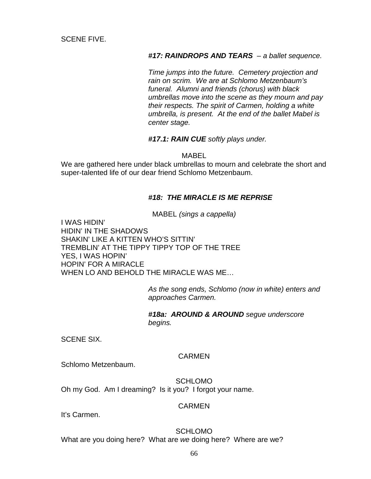SCENE FIVE.

*#17: RAINDROPS AND TEARS – a ballet sequence.* 

*Time jumps into the future. Cemetery projection and rain on scrim. We are at Schlomo Metzenbaum's funeral. Alumni and friends (chorus) with black umbrellas move into the scene as they mourn and pay their respects. The spirit of Carmen, holding a white umbrella, is present. At the end of the ballet Mabel is center stage.*

*#17.1: RAIN CUE softly plays under.* 

MABEL

We are gathered here under black umbrellas to mourn and celebrate the short and super-talented life of our dear friend Schlomo Metzenbaum.

### *#18: THE MIRACLE IS ME REPRISE*

MABEL *(sings a cappella)*

I WAS HIDIN' HIDIN' IN THE SHADOWS SHAKIN' LIKE A KITTEN WHO'S SITTIN' TREMBLIN' AT THE TIPPY TIPPY TOP OF THE TREE YES, I WAS HOPIN' HOPIN' FOR A MIRACLE WHEN LO AND BEHOLD THE MIRACLE WAS ME…

> *As the song ends, Schlomo (now in white) enters and approaches Carmen.*

*#18a: AROUND & AROUND segue underscore begins.*

SCENE SIX.

### **CARMEN**

Schlomo Metzenbaum.

SCHLOMO Oh my God. Am I dreaming? Is it you? I forgot your name.

### CARMEN

It's Carmen.

SCHLOMO What are you doing here? What are *we* doing here? Where are we?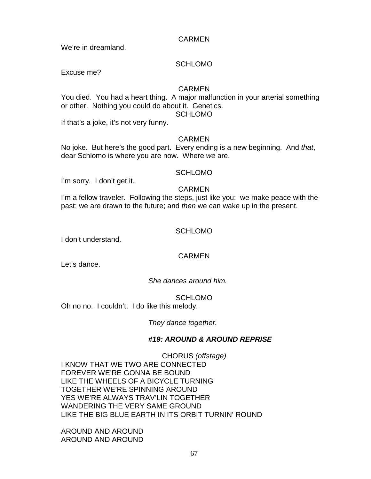### CARMEN

We're in dreamland.

### **SCHLOMO**

Excuse me?

### CARMEN

You died. You had a heart thing. A major malfunction in your arterial something or other. Nothing you could do about it. Genetics. SCHLOMO

If that's a joke, it's not very funny.

### CARMEN

No joke. But here's the good part. Every ending is a new beginning. And *that*, dear Schlomo is where you are now. Where *we* are.

### SCHLOMO

I'm sorry. I don't get it.

### CARMEN

I'm a fellow traveler. Following the steps, just like you: we make peace with the past; we are drawn to the future; and *then* we can wake up in the present.

### SCHLOMO

I don't understand.

### CARMEN

Let's dance.

### *She dances around him.*

**SCHLOMO** Oh no no. I couldn't. I do like this melody.

### *They dance together.*

### *#19: AROUND & AROUND REPRISE*

CHORUS *(offstage)* I KNOW THAT WE TWO ARE CONNECTED FOREVER WE'RE GONNA BE BOUND LIKE THE WHEELS OF A BICYCLE TURNING TOGETHER WE'RE SPINNING AROUND YES WE'RE ALWAYS TRAV'LIN TOGETHER WANDERING THE VERY SAME GROUND LIKE THE BIG BLUE EARTH IN ITS ORBIT TURNIN' ROUND

AROUND AND AROUND AROUND AND AROUND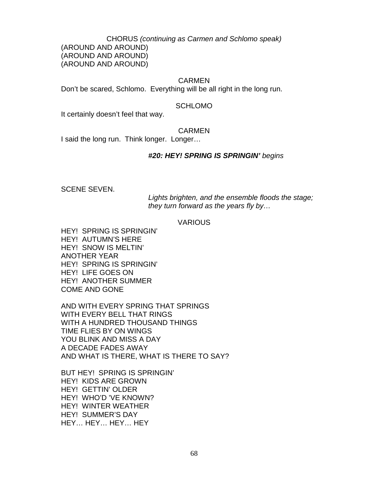CHORUS *(continuing as Carmen and Schlomo speak)*

(AROUND AND AROUND) (AROUND AND AROUND) (AROUND AND AROUND)

### CARMEN

Don't be scared, Schlomo. Everything will be all right in the long run.

### SCHLOMO

It certainly doesn't feel that way.

### CARMEN

I said the long run. Think longer. Longer…

### *#20: HEY! SPRING IS SPRINGIN' begins*

SCENE SEVEN.

*Lights brighten, and the ensemble floods the stage; they turn forward as the years fly by…*

### **VARIOUS**

HEY! SPRING IS SPRINGIN' HEY! AUTUMN'S HERE HEY! SNOW IS MELTIN' ANOTHER YEAR HEY! SPRING IS SPRINGIN' HEY! LIFE GOES ON HEY! ANOTHER SUMMER COME AND GONE

AND WITH EVERY SPRING THAT SPRINGS WITH EVERY BELL THAT RINGS WITH A HUNDRED THOUSAND THINGS TIME FLIES BY ON WINGS YOU BLINK AND MISS A DAY A DECADE FADES AWAY AND WHAT IS THERE, WHAT IS THERE TO SAY?

BUT HEY! SPRING IS SPRINGIN' HEY! KIDS ARE GROWN HEY! GETTIN' OLDER HEY! WHO'D 'VE KNOWN? HEY! WINTER WEATHER HEY! SUMMER'S DAY HEY… HEY… HEY… HEY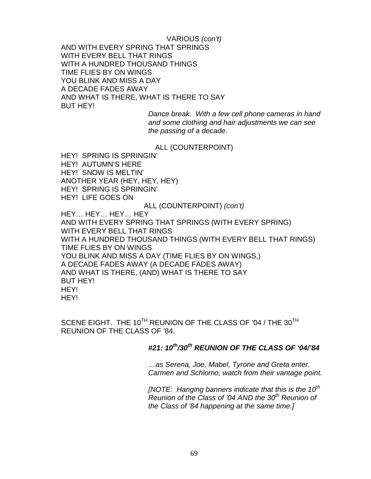VARIOUS *(con't)* AND WITH EVERY SPRING THAT SPRINGS WITH EVERY BELL THAT RINGS WITH A HUNDRED THOUSAND THINGS TIME FLIES BY ON WINGS YOU BLINK AND MISS A DAY A DECADE FADES AWAY AND WHAT IS THERE, WHAT IS THERE TO SAY BUT HEY!

*Dance break. With a few cell phone cameras in hand and some clothing and hair adjustments we can see the passing of a decade.* 

### ALL (COUNTERPOINT)

HEY! SPRING IS SPRINGIN' HEY! AUTUMN'S HERE HEY! SNOW IS MELTIN' ANOTHER YEAR (HEY, HEY, HEY) HEY! SPRING IS SPRINGIN' HEY! LIFE GOES ON

#### ALL (COUNTERPOINT) *(con't)*

HEY… HEY… HEY… HEY AND WITH EVERY SPRING THAT SPRINGS (WITH EVERY SPRING) WITH EVERY BELL THAT RINGS WITH A HUNDRED THOUSAND THINGS (WITH EVERY BELL THAT RINGS) TIME FLIES BY ON WINGS YOU BLINK AND MISS A DAY (TIME FLIES BY ON WINGS,) A DECADE FADES AWAY (A DECADE FADES AWAY) AND WHAT IS THERE, (AND) WHAT IS THERE TO SAY BUT HEY! HEY! HEY!

SCENE EIGHT. THE 10<sup>TH</sup> REUNION OF THE CLASS OF '04 / THE 30<sup>TH</sup> REUNION OF THE CLASS OF '84.

### *#21: 10th/30th REUNION OF THE CLASS OF '04/'84*

*…as Serena, Joe, Mabel, Tyrone and Greta enter. Carmen and Schlomo, watch from their vantage point.* 

*[NOTE: Hanging banners indicate that this is the 10th Reunion of the Class of '04 AND the 30<sup>th</sup> Reunion of the Class of '84 happening at the same time.]*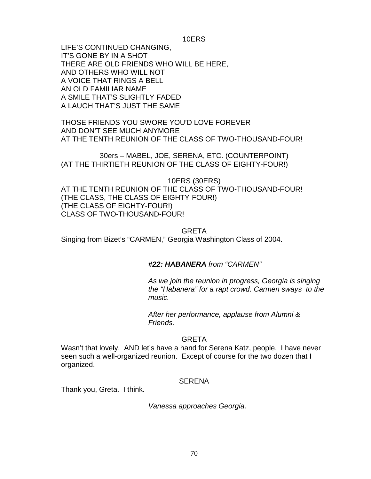10ERS

LIFE'S CONTINUED CHANGING, IT'S GONE BY IN A SHOT THERE ARE OLD FRIENDS WHO WILL BE HERE, AND OTHERS WHO WILL NOT A VOICE THAT RINGS A BELL AN OLD FAMILIAR NAME A SMILE THAT'S SLIGHTLY FADED A LAUGH THAT'S JUST THE SAME

THOSE FRIENDS YOU SWORE YOU'D LOVE FOREVER AND DON'T SEE MUCH ANYMORE AT THE TENTH REUNION OF THE CLASS OF TWO-THOUSAND-FOUR!

30ers – MABEL, JOE, SERENA, ETC. (COUNTERPOINT) (AT THE THIRTIETH REUNION OF THE CLASS OF EIGHTY-FOUR!)

10ERS (30ERS) AT THE TENTH REUNION OF THE CLASS OF TWO-THOUSAND-FOUR! (THE CLASS, THE CLASS OF EIGHTY-FOUR!) (THE CLASS OF EIGHTY-FOUR!) CLASS OF TWO-THOUSAND-FOUR!

GRETA Singing from Bizet's "CARMEN," Georgia Washington Class of 2004.

### *#22: HABANERA from "CARMEN"*

*As we join the reunion in progress, Georgia is singing the "Habanera" for a rapt crowd. Carmen sways to the music.*

*After her performance, applause from Alumni & Friends.*

### GRETA

Wasn't that lovely. AND let's have a hand for Serena Katz, people. I have never seen such a well-organized reunion. Except of course for the two dozen that I organized.

### **SERENA**

Thank you, Greta. I think.

*Vanessa approaches Georgia.*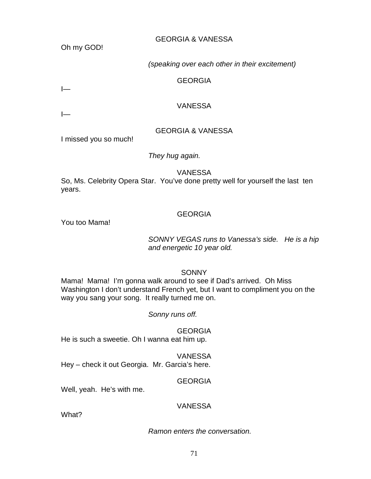Oh my GOD!

### GEORGIA & VANESSA

*(speaking over each other in their excitement)*

### GEORGIA

I—

### VANESSA

 $\overline{$ 

# GEORGIA & VANESSA

I missed you so much!

### *They hug again.*

VANESSA

So, Ms. Celebrity Opera Star. You've done pretty well for yourself the last ten years.

### GEORGIA

You too Mama!

### *SONNY VEGAS runs to Vanessa's side. He is a hip and energetic 10 year old.*

**SONNY** 

Mama! Mama! I'm gonna walk around to see if Dad's arrived. Oh Miss Washington I don't understand French yet, but I want to compliment you on the way you sang your song. It really turned me on.

### *Sonny runs off.*

GEORGIA He is such a sweetie. Oh I wanna eat him up.

# VANESSA

Hey – check it out Georgia. Mr. Garcia's here.

### GEORGIA

Well, yeah. He's with me.

### VANESSA

What?

### *Ramon enters the conversation.*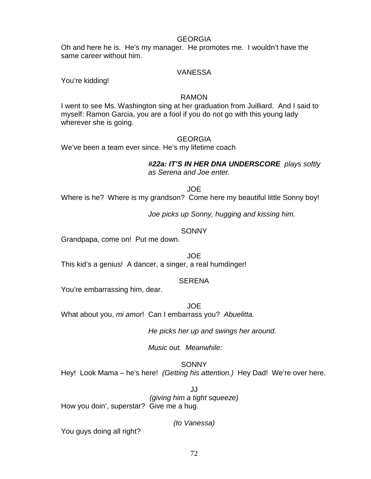#### GEORGIA

Oh and here he is. He's my manager. He promotes me. I wouldn't have the same career without him.

### VANESSA

You're kidding!

### RAMON

I went to see Ms. Washington sing at her graduation from Juilliard. And I said to myself: Ramon Garcia, you are a fool if you do not go with this young lady wherever she is going.

### GEORGIA

We've been a team ever since. He's my lifetime coach

*#22a: IT'S IN HER DNA UNDERSCORE plays softly as Serena and Joe enter.*

#### JOE

Where is he? Where is my grandson? Come here my beautiful little Sonny boy!

*Joe picks up Sonny, hugging and kissing him.*

### **SONNY**

Grandpapa, come on! Put me down.

JOE

This kid's a genius! A dancer, a singer, a real humdinger!

### **SERENA**

You're embarrassing him, dear.

JOE

What about you, *mi amor*! Can I embarrass you? *Abuelitta.*

*He picks her up and swings her around.* 

*Music out. Meanwhile:*

**SONNY** 

Hey! Look Mama – he's here! *(Getting his attention.)* Hey Dad! We're over here.

JJ *(giving him a tight squeeze)* How you doin', superstar? Give me a hug.

*(to Vanessa)*

You guys doing all right?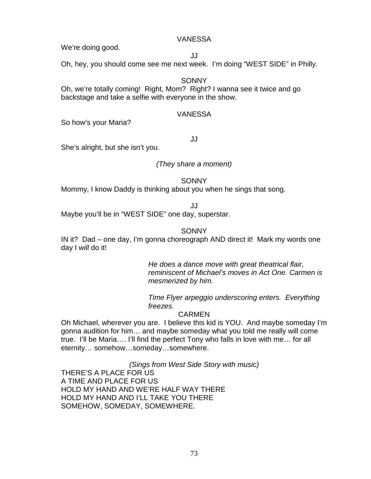#### VANESSA

We're doing good.

JJ

Oh, hey, you should come see me next week. I'm doing "WEST SIDE" in Philly.

### **SONNY**

Oh, we're totally coming! Right, Mom? Right? I wanna see it twice and go backstage and take a selfie with everyone in the show.

#### VANESSA

So how's your Maria?

JJ

She's alright, but she isn't you.

### *(They share a moment)*

**SONNY** 

Mommy, I know Daddy is thinking about you when he sings that song.

JJ

Maybe you'll be in "WEST SIDE" one day, superstar.

### **SONNY**

IN it? Dad – one day, I'm gonna choreograph AND direct it! Mark my words one day I *will* do it!

> *He does a dance move with great theatrical flair, reminiscent of Michael's moves in Act One. Carmen is mesmerized by him.*

*Time Flyer arpeggio underscoring enters. Everything freezes.* 

### CARMEN

Oh Michael, wherever you are. I believe this kid is YOU. And maybe someday I'm gonna audition for him… and maybe someday what you told me really will come true. I'll be Maria…. I'll find the perfect Tony who falls in love with me… for all eternity… somehow…someday…somewhere.

*(Sings from West Side Story with music)*

THERE'S A PLACE FOR US A TIME AND PLACE FOR US HOLD MY HAND AND WE'RE HALF WAY THERE HOLD MY HAND AND I'LL TAKE YOU THERE SOMEHOW, SOMEDAY, SOMEWHERE.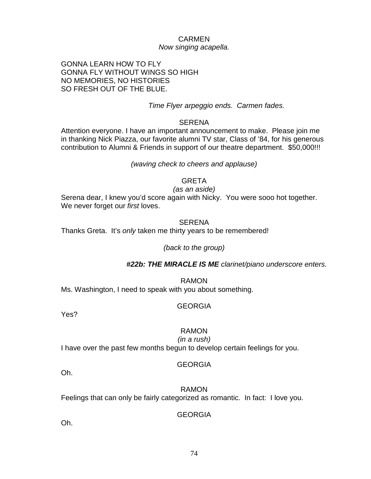## CARMEN *Now singing acapella.*

GONNA LEARN HOW TO FLY GONNA FLY WITHOUT WINGS SO HIGH NO MEMORIES, NO HISTORIES SO FRESH OUT OF THE BLUE.

### *Time Flyer arpeggio ends. Carmen fades.*

#### SERENA

Attention everyone. I have an important announcement to make. Please join me in thanking Nick Piazza, our favorite alumni TV star, Class of '84, for his generous contribution to Alumni & Friends in support of our theatre department. \$50,000!!!

#### *(waving check to cheers and applause)*

### **GRETA**

*(as an aside)* Serena dear, I knew you'd score again with Nicky. You were sooo hot together. We never forget our *first* loves.

#### **SERENA**

Thanks Greta. It's *only* taken me thirty years to be remembered!

#### *(back to the group)*

#### *#22b: THE MIRACLE IS ME clarinet/piano underscore enters.*

RAMON Ms. Washington, I need to speak with you about something.

#### GEORGIA

Yes?

## RAMON

#### *(in a rush)*

I have over the past few months begun to develop certain feelings for you.

#### GEORGIA

Oh.

RAMON Feelings that can only be fairly categorized as romantic. In fact: I love you.

### GEORGIA

Oh.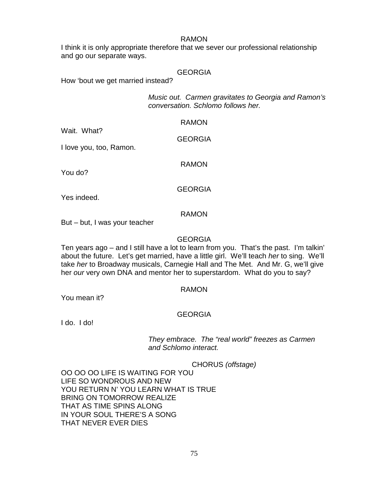#### RAMON

I think it is only appropriate therefore that we sever our professional relationship and go our separate ways.

## GEORGIA

How 'bout we get married instead?

*Music out. Carmen gravitates to Georgia and Ramon's conversation. Schlomo follows her.* 

| Wait, What?             | <b>RAMON</b>   |
|-------------------------|----------------|
|                         | <b>GEORGIA</b> |
| I love you, too, Ramon. |                |
| You do?                 | RAMON          |
|                         |                |
| Yes indeed.             | <b>GEORGIA</b> |
|                         |                |
|                         | <b>RAMON</b>   |

But – but, I was your teacher

#### **GEORGIA**

Ten years ago – and I still have a lot to learn from you. That's the past. I'm talkin' about the future. Let's get married, have a little girl. We'll teach *her* to sing. We'll take *her* to Broadway musicals, Carnegie Hall and The Met. And Mr. G, we'll give her *our* very own DNA and mentor her to superstardom. What do you to say?

#### RAMON

You mean it?

### GEORGIA

I do. I do!

### *They embrace. The "real world" freezes as Carmen and Schlomo interact.*

CHORUS *(offstage)*

OO OO OO LIFE IS WAITING FOR YOU LIFE SO WONDROUS AND NEW YOU RETURN N'YOU LEARN WHAT IS TRUE BRING ON TOMORROW REALIZE THAT AS TIME SPINS ALONG IN YOUR SOUL THERE'S A SONG THAT NEVER EVER DIES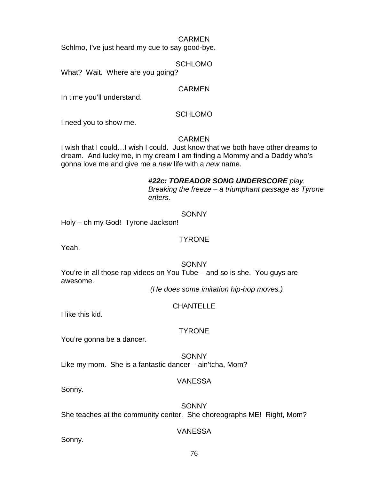#### CARMEN

Schlmo, I've just heard my cue to say good-bye.

#### SCHLOMO

What? Wait. Where are you going?

#### CARMEN

In time you'll understand.

#### SCHLOMO

I need you to show me.

### CARMEN

I wish that I could…I wish I could. Just know that we both have other dreams to dream. And lucky me, in my dream I am finding a Mommy and a Daddy who's gonna love me and give me a *new* life with a *new* name.

### *#22c: TOREADOR SONG UNDERSCORE play. Breaking the freeze – a triumphant passage as Tyrone*

*enters.*

# **SONNY**

Holy – oh my God! Tyrone Jackson!

### **TYRONE**

Yeah.

### **SONNY**

You're in all those rap videos on You Tube – and so is she. You guys are awesome.

*(He does some imitation hip-hop moves.)*

### **CHANTELLE**

I like this kid.

### TYRONE

You're gonna be a dancer.

**SONNY** Like my mom. She is a fantastic dancer – ain'tcha, Mom?

### VANESSA

Sonny.

### SONNY

She teaches at the community center. She choreographs ME! Right, Mom?

### VANESSA

Sonny.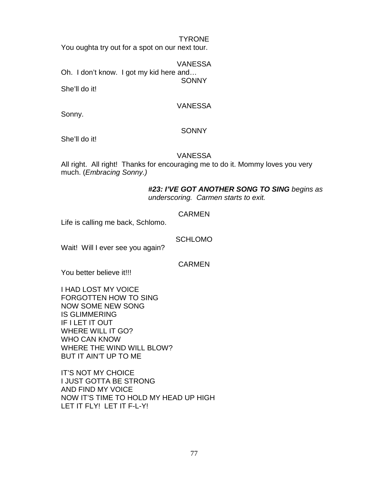#### TYRONE

You oughta try out for a spot on our next tour.

VANESSA Oh. I don't know. I got my kid here and… **SONNY** 

She'll do it!

### VANESSA

Sonny.

### **SONNY**

She'll do it!

### VANESSA

All right. All right! Thanks for encouraging me to do it. Mommy loves you very much. (*Embracing Sonny.)*

#### *#23: I'VE GOT ANOTHER SONG TO SING begins as underscoring. Carmen starts to exit.*

## CARMEN

Life is calling me back, Schlomo.

**SCHLOMO** 

Wait! Will I ever see you again?

**CARMEN** 

You better believe it!!!

I HAD LOST MY VOICE FORGOTTEN HOW TO SING NOW SOME NEW SONG IS GLIMMERING IF I LET IT OUT WHERE WILL IT GO? WHO CAN KNOW WHERE THE WIND WILL BLOW? BUT IT AIN'T UP TO ME

IT'S NOT MY CHOICE I JUST GOTTA BE STRONG AND FIND MY VOICE NOW IT'S TIME TO HOLD MY HEAD UP HIGH LET IT FLY! LET IT F-L-Y!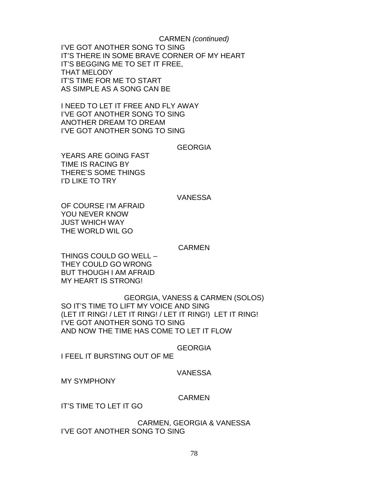CARMEN *(continued)* I'VE GOT ANOTHER SONG TO SING IT'S THERE IN SOME BRAVE CORNER OF MY HEART IT'S BEGGING ME TO SET IT FREE, THAT MELODY IT'S TIME FOR ME TO START AS SIMPLE AS A SONG CAN BE

I NEED TO LET IT FREE AND FLY AWAY I'VE GOT ANOTHER SONG TO SING ANOTHER DREAM TO DREAM I'VE GOT ANOTHER SONG TO SING

#### **GEORGIA**

YEARS ARE GOING FAST TIME IS RACING BY THERE'S SOME THINGS I'D LIKE TO TRY

#### VANESSA

OF COURSE I'M AFRAID YOU NEVER KNOW JUST WHICH WAY THE WORLD WIL GO

#### CARMEN

THINGS COULD GO WELL – THEY COULD GO WRONG BUT THOUGH I AM AFRAID MY HEART IS STRONG!

GEORGIA, VANESS & CARMEN (SOLOS) SO IT'S TIME TO LIFT MY VOICE AND SING (LET IT RING! / LET IT RING! / LET IT RING!) LET IT RING! I'VE GOT ANOTHER SONG TO SING AND NOW THE TIME HAS COME TO LET IT FLOW

#### GEORGIA

I FEEL IT BURSTING OUT OF ME

#### VANESSA

MY SYMPHONY

#### CARMEN

IT'S TIME TO LET IT GO

CARMEN, GEORGIA & VANESSA I'VE GOT ANOTHER SONG TO SING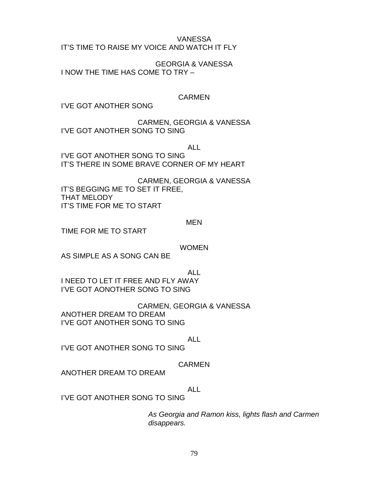#### VANESSA

IT'S TIME TO RAISE MY VOICE AND WATCH IT FLY

GEORGIA & VANESSA I NOW THE TIME HAS COME TO TRY –

# CARMEN

I'VE GOT ANOTHER SONG

CARMEN, GEORGIA & VANESSA I'VE GOT ANOTHER SONG TO SING

ALL

I'VE GOT ANOTHER SONG TO SING IT'S THERE IN SOME BRAVE CORNER OF MY HEART

CARMEN, GEORGIA & VANESSA IT'S BEGGING ME TO SET IT FREE, THAT MELODY IT'S TIME FOR ME TO START

### MEN

TIME FOR ME TO START

WOMEN

AS SIMPLE AS A SONG CAN BE

ALL I NEED TO LET IT FREE AND FLY AWAY I'VE GOT AONOTHER SONG TO SING

CARMEN, GEORGIA & VANESSA ANOTHER DREAM TO DREAM I'VE GOT ANOTHER SONG TO SING

ALL

I'VE GOT ANOTHER SONG TO SING

# CARMEN

ANOTHER DREAM TO DREAM

ALL

I'VE GOT ANOTHER SONG TO SING

*As Georgia and Ramon kiss, lights flash and Carmen disappears.*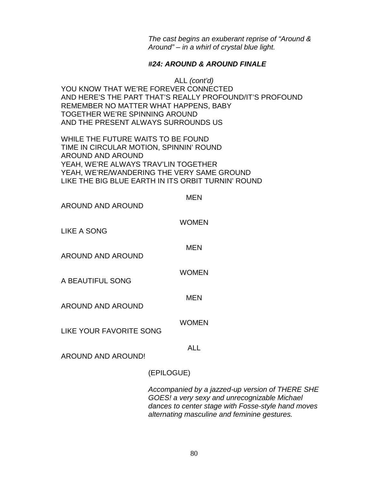*The cast begins an exuberant reprise of "Around & Around" – in a whirl of crystal blue light.*

### *#24: AROUND & AROUND FINALE*

ALL *(cont'd)* YOU KNOW THAT WE'RE FOREVER CONNECTED AND HERE'S THE PART THAT'S REALLY PROFOUND/IT'S PROFOUND REMEMBER NO MATTER WHAT HAPPENS, BABY TOGETHER WE'RE SPINNING AROUND AND THE PRESENT ALWAYS SURROUNDS US

WHILE THE FUTURE WAITS TO BE FOUND TIME IN CIRCULAR MOTION, SPINNIN' ROUND AROUND AND AROUND YEAH, WE'RE ALWAYS TRAV'LIN TOGETHER YEAH, WE'RE/WANDERING THE VERY SAME GROUND LIKE THE BIG BLUE EARTH IN ITS ORBIT TURNIN' ROUND

| AROUND AND AROUND              | MEN                   |
|--------------------------------|-----------------------|
| <b>LIKE A SONG</b>             | <b>WOMEN</b>          |
| <b>AROUND AND AROUND</b>       | <b>MEN</b>            |
| A BEAUTIFUL SONG               | <b>WOMEN</b>          |
| <b>AROUND AND AROUND</b>       | <b>MEN</b>            |
| <b>LIKE YOUR FAVORITE SONG</b> | <b>WOMEN</b>          |
| <b>AROUND AND AROUND!</b>      | <b>ALL</b>            |
|                                | (EPILOGUE)            |
|                                | Accompanied by a iaz: |

*Acaptanie by a jazzed-up version of THERE SHE GOES! a very sexy and unrecognizable Michael dances to center stage with Fosse-style hand moves alternating masculine and feminine gestures.*